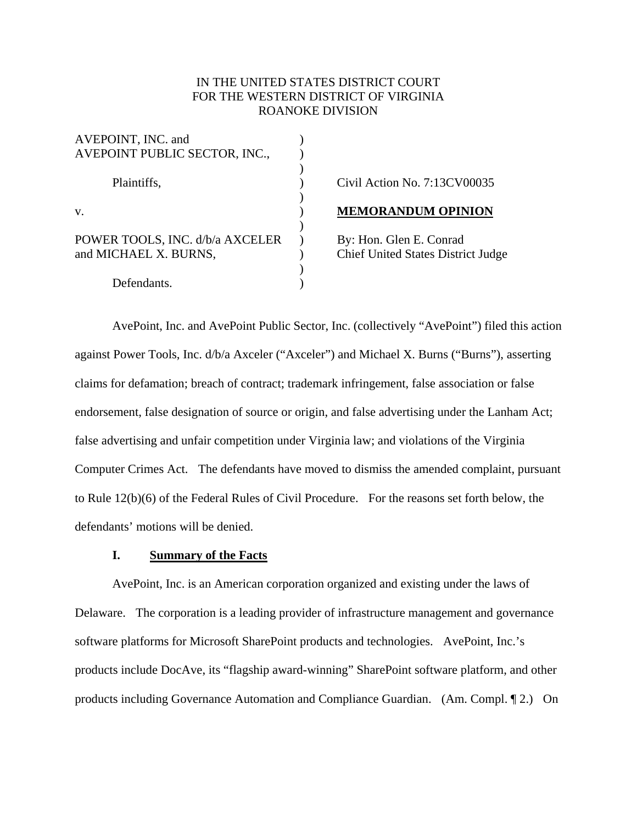# IN THE UNITED STATES DISTRICT COURT FOR THE WESTERN DISTRICT OF VIRGINIA ROANOKE DIVISION

| AVEPOINT, INC. and<br>AVEPOINT PUBLIC SECTOR, INC.,      |  |
|----------------------------------------------------------|--|
| Plaintiffs,                                              |  |
| V.                                                       |  |
| POWER TOOLS, INC. d/b/a AXCELER<br>and MICHAEL X. BURNS, |  |
| Defendants.                                              |  |

## ) Civil Action No. 7:13CV00035

#### v. ) **MEMORANDUM OPINION**

) By: Hon. Glen E. Conrad ) Chief United States District Judge

 AvePoint, Inc. and AvePoint Public Sector, Inc. (collectively "AvePoint") filed this action against Power Tools, Inc. d/b/a Axceler ("Axceler") and Michael X. Burns ("Burns"), asserting claims for defamation; breach of contract; trademark infringement, false association or false endorsement, false designation of source or origin, and false advertising under the Lanham Act; false advertising and unfair competition under Virginia law; and violations of the Virginia Computer Crimes Act. The defendants have moved to dismiss the amended complaint, pursuant to Rule 12(b)(6) of the Federal Rules of Civil Procedure. For the reasons set forth below, the defendants' motions will be denied.

## **I. Summary of the Facts**

 AvePoint, Inc. is an American corporation organized and existing under the laws of Delaware. The corporation is a leading provider of infrastructure management and governance software platforms for Microsoft SharePoint products and technologies. AvePoint, Inc.'s products include DocAve, its "flagship award-winning" SharePoint software platform, and other products including Governance Automation and Compliance Guardian. (Am. Compl. ¶ 2.) On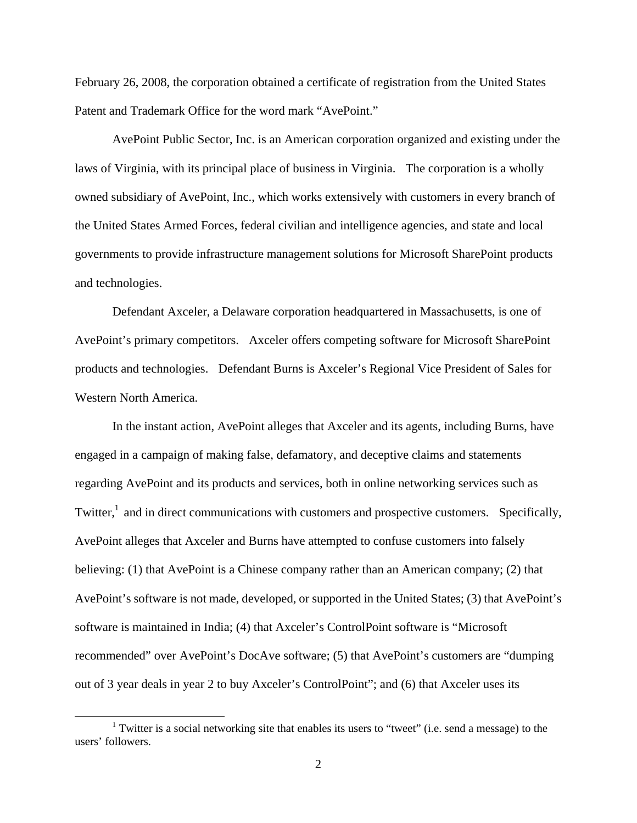February 26, 2008, the corporation obtained a certificate of registration from the United States Patent and Trademark Office for the word mark "AvePoint."

 AvePoint Public Sector, Inc. is an American corporation organized and existing under the laws of Virginia, with its principal place of business in Virginia. The corporation is a wholly owned subsidiary of AvePoint, Inc., which works extensively with customers in every branch of the United States Armed Forces, federal civilian and intelligence agencies, and state and local governments to provide infrastructure management solutions for Microsoft SharePoint products and technologies.

 Defendant Axceler, a Delaware corporation headquartered in Massachusetts, is one of AvePoint's primary competitors. Axceler offers competing software for Microsoft SharePoint products and technologies. Defendant Burns is Axceler's Regional Vice President of Sales for Western North America.

 In the instant action, AvePoint alleges that Axceler and its agents, including Burns, have engaged in a campaign of making false, defamatory, and deceptive claims and statements regarding AvePoint and its products and services, both in online networking services such as Twitter,<sup>1</sup> and in direct communications with customers and prospective customers. Specifically, AvePoint alleges that Axceler and Burns have attempted to confuse customers into falsely believing: (1) that AvePoint is a Chinese company rather than an American company; (2) that AvePoint's software is not made, developed, or supported in the United States; (3) that AvePoint's software is maintained in India; (4) that Axceler's ControlPoint software is "Microsoft recommended" over AvePoint's DocAve software; (5) that AvePoint's customers are "dumping out of 3 year deals in year 2 to buy Axceler's ControlPoint"; and (6) that Axceler uses its

<sup>&</sup>lt;sup>1</sup> Twitter is a social networking site that enables its users to "tweet" (i.e. send a message) to the users' followers.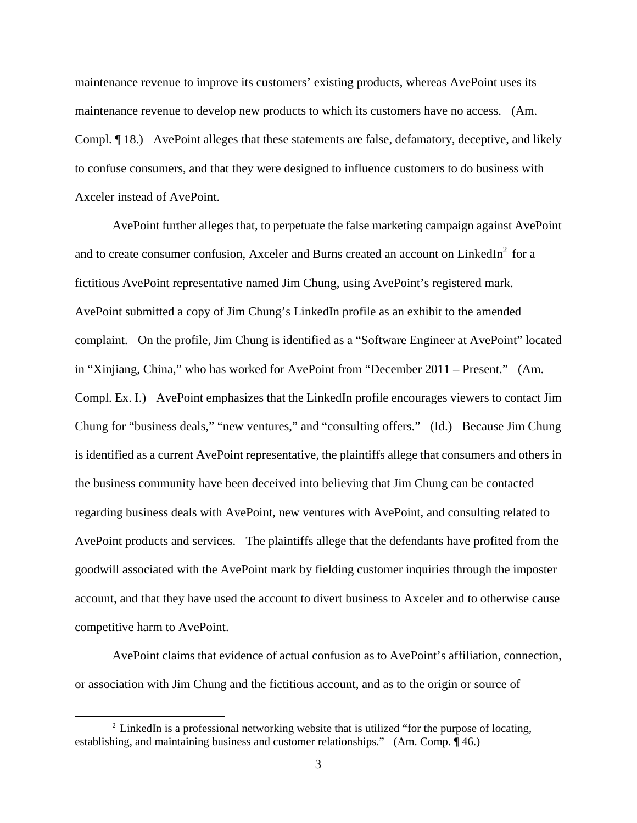maintenance revenue to improve its customers' existing products, whereas AvePoint uses its maintenance revenue to develop new products to which its customers have no access. (Am. Compl. ¶ 18.) AvePoint alleges that these statements are false, defamatory, deceptive, and likely to confuse consumers, and that they were designed to influence customers to do business with Axceler instead of AvePoint.

 AvePoint further alleges that, to perpetuate the false marketing campaign against AvePoint and to create consumer confusion, Axceler and Burns created an account on LinkedIn<sup>2</sup> for a fictitious AvePoint representative named Jim Chung, using AvePoint's registered mark. AvePoint submitted a copy of Jim Chung's LinkedIn profile as an exhibit to the amended complaint. On the profile, Jim Chung is identified as a "Software Engineer at AvePoint" located in "Xinjiang, China," who has worked for AvePoint from "December 2011 – Present." (Am. Compl. Ex. I.) AvePoint emphasizes that the LinkedIn profile encourages viewers to contact Jim Chung for "business deals," "new ventures," and "consulting offers." (Id.) Because Jim Chung is identified as a current AvePoint representative, the plaintiffs allege that consumers and others in the business community have been deceived into believing that Jim Chung can be contacted regarding business deals with AvePoint, new ventures with AvePoint, and consulting related to AvePoint products and services. The plaintiffs allege that the defendants have profited from the goodwill associated with the AvePoint mark by fielding customer inquiries through the imposter account, and that they have used the account to divert business to Axceler and to otherwise cause competitive harm to AvePoint.

 AvePoint claims that evidence of actual confusion as to AvePoint's affiliation, connection, or association with Jim Chung and the fictitious account, and as to the origin or source of

 $2$  LinkedIn is a professional networking website that is utilized "for the purpose of locating, establishing, and maintaining business and customer relationships." (Am. Comp. ¶ 46.)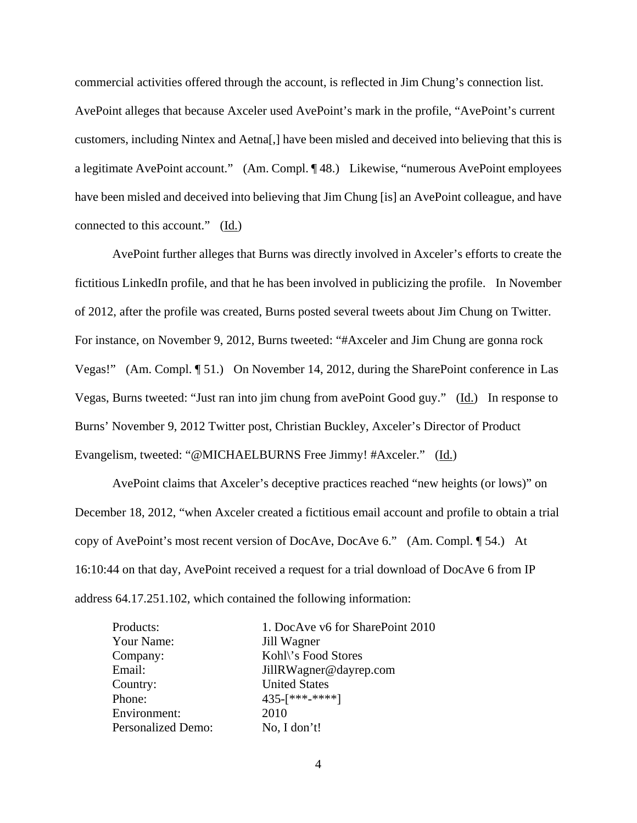commercial activities offered through the account, is reflected in Jim Chung's connection list. AvePoint alleges that because Axceler used AvePoint's mark in the profile, "AvePoint's current customers, including Nintex and Aetna[,] have been misled and deceived into believing that this is a legitimate AvePoint account." (Am. Compl. ¶ 48.) Likewise, "numerous AvePoint employees have been misled and deceived into believing that Jim Chung [is] an AvePoint colleague, and have connected to this account." (Id.)

 AvePoint further alleges that Burns was directly involved in Axceler's efforts to create the fictitious LinkedIn profile, and that he has been involved in publicizing the profile. In November of 2012, after the profile was created, Burns posted several tweets about Jim Chung on Twitter. For instance, on November 9, 2012, Burns tweeted: "#Axceler and Jim Chung are gonna rock Vegas!" (Am. Compl. ¶ 51.) On November 14, 2012, during the SharePoint conference in Las Vegas, Burns tweeted: "Just ran into jim chung from avePoint Good guy." (Id.) In response to Burns' November 9, 2012 Twitter post, Christian Buckley, Axceler's Director of Product Evangelism, tweeted: "@MICHAELBURNS Free Jimmy! #Axceler." (Id.)

 AvePoint claims that Axceler's deceptive practices reached "new heights (or lows)" on December 18, 2012, "when Axceler created a fictitious email account and profile to obtain a trial copy of AvePoint's most recent version of DocAve, DocAve 6." (Am. Compl. ¶ 54.) At 16:10:44 on that day, AvePoint received a request for a trial download of DocAve 6 from IP address 64.17.251.102, which contained the following information:

| Products:                 | 1. DocAve v6 for SharePoint 2010 |
|---------------------------|----------------------------------|
| Your Name:                | Jill Wagner                      |
| Company:                  | Kohl\'s Food Stores              |
| Email:                    | JillRWagner@dayrep.com           |
| Country:                  | <b>United States</b>             |
| Phone:                    | 435-[***-****]                   |
| Environment:              | 2010                             |
| <b>Personalized Demo:</b> | No, I don't!                     |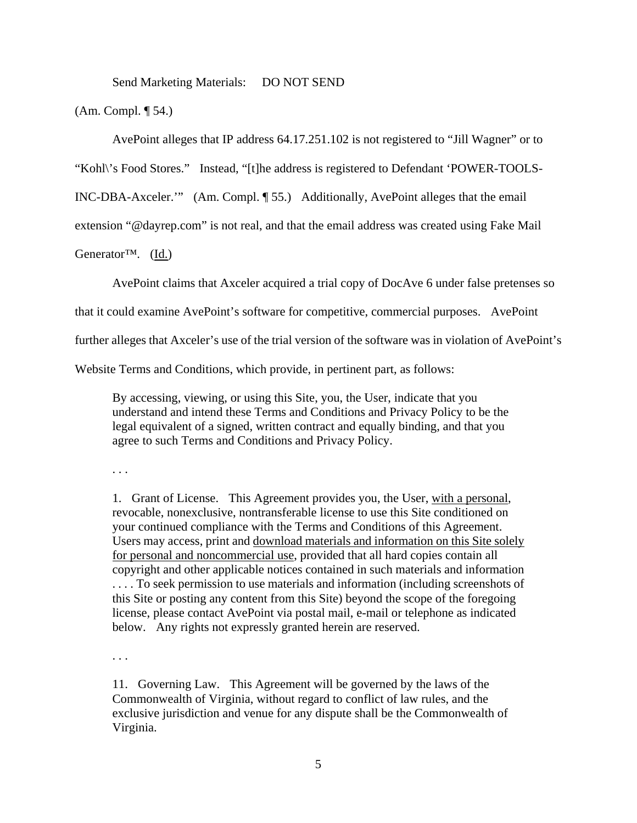Send Marketing Materials: DO NOT SEND

(Am. Compl. ¶ 54.)

AvePoint alleges that IP address 64.17.251.102 is not registered to "Jill Wagner" or to

"Kohl\'s Food Stores." Instead, "[t]he address is registered to Defendant 'POWER-TOOLS-

INC-DBA-Axceler.'" (Am. Compl. ¶ 55.) Additionally, AvePoint alleges that the email

extension "@dayrep.com" is not real, and that the email address was created using Fake Mail

Generator™. (Id.)

AvePoint claims that Axceler acquired a trial copy of DocAve 6 under false pretenses so

that it could examine AvePoint's software for competitive, commercial purposes. AvePoint

further alleges that Axceler's use of the trial version of the software was in violation of AvePoint's

Website Terms and Conditions, which provide, in pertinent part, as follows:

By accessing, viewing, or using this Site, you, the User, indicate that you understand and intend these Terms and Conditions and Privacy Policy to be the legal equivalent of a signed, written contract and equally binding, and that you agree to such Terms and Conditions and Privacy Policy.

. . .

1. Grant of License. This Agreement provides you, the User, with a personal, revocable, nonexclusive, nontransferable license to use this Site conditioned on your continued compliance with the Terms and Conditions of this Agreement. Users may access, print and download materials and information on this Site solely for personal and noncommercial use, provided that all hard copies contain all copyright and other applicable notices contained in such materials and information . . . . To seek permission to use materials and information (including screenshots of this Site or posting any content from this Site) beyond the scope of the foregoing license, please contact AvePoint via postal mail, e-mail or telephone as indicated below. Any rights not expressly granted herein are reserved.

. . .

11. Governing Law. This Agreement will be governed by the laws of the Commonwealth of Virginia, without regard to conflict of law rules, and the exclusive jurisdiction and venue for any dispute shall be the Commonwealth of Virginia.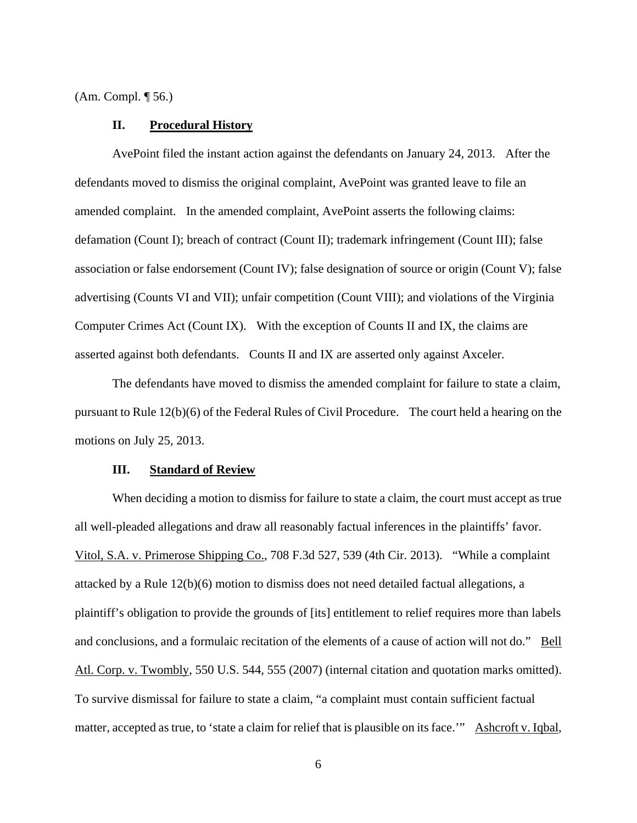(Am. Compl. ¶ 56.)

### **II. Procedural History**

 AvePoint filed the instant action against the defendants on January 24, 2013. After the defendants moved to dismiss the original complaint, AvePoint was granted leave to file an amended complaint. In the amended complaint, AvePoint asserts the following claims: defamation (Count I); breach of contract (Count II); trademark infringement (Count III); false association or false endorsement (Count IV); false designation of source or origin (Count V); false advertising (Counts VI and VII); unfair competition (Count VIII); and violations of the Virginia Computer Crimes Act (Count IX). With the exception of Counts II and IX, the claims are asserted against both defendants. Counts II and IX are asserted only against Axceler.

 The defendants have moved to dismiss the amended complaint for failure to state a claim, pursuant to Rule 12(b)(6) of the Federal Rules of Civil Procedure. The court held a hearing on the motions on July 25, 2013.

### **III. Standard of Review**

 When deciding a motion to dismiss for failure to state a claim, the court must accept as true all well-pleaded allegations and draw all reasonably factual inferences in the plaintiffs' favor. Vitol, S.A. v. Primerose Shipping Co., 708 F.3d 527, 539 (4th Cir. 2013). "While a complaint attacked by a Rule 12(b)(6) motion to dismiss does not need detailed factual allegations, a plaintiff's obligation to provide the grounds of [its] entitlement to relief requires more than labels and conclusions, and a formulaic recitation of the elements of a cause of action will not do." Bell Atl. Corp. v. Twombly, 550 U.S. 544, 555 (2007) (internal citation and quotation marks omitted). To survive dismissal for failure to state a claim, "a complaint must contain sufficient factual matter, accepted as true, to 'state a claim for relief that is plausible on its face.'" Ashcroft v. Iqbal,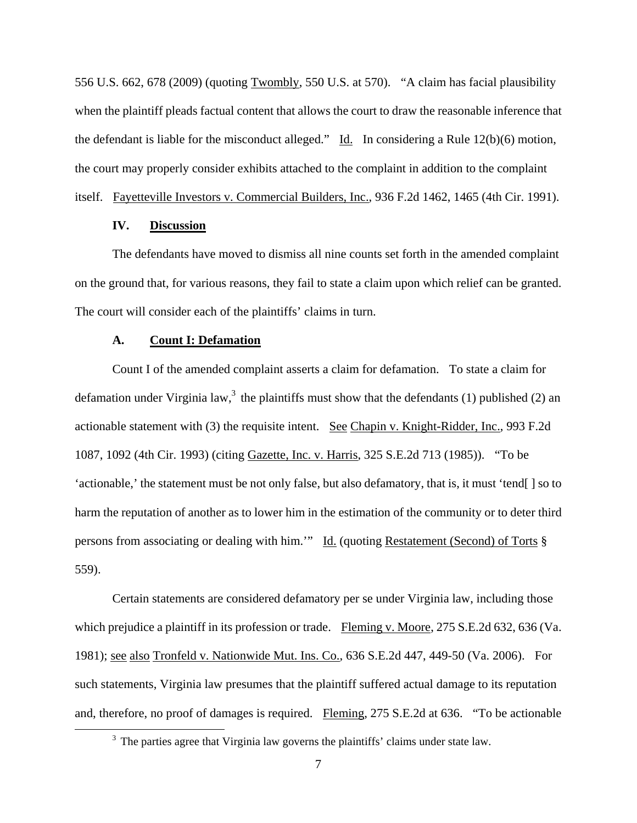556 U.S. 662, 678 (2009) (quoting Twombly, 550 U.S. at 570). "A claim has facial plausibility when the plaintiff pleads factual content that allows the court to draw the reasonable inference that the defendant is liable for the misconduct alleged." Id. In considering a Rule 12(b)(6) motion, the court may properly consider exhibits attached to the complaint in addition to the complaint itself. Fayetteville Investors v. Commercial Builders, Inc., 936 F.2d 1462, 1465 (4th Cir. 1991).

# **IV. Discussion**

 The defendants have moved to dismiss all nine counts set forth in the amended complaint on the ground that, for various reasons, they fail to state a claim upon which relief can be granted. The court will consider each of the plaintiffs' claims in turn.

### **A. Count I: Defamation**

 Count I of the amended complaint asserts a claim for defamation. To state a claim for defamation under Virginia law,<sup>3</sup> the plaintiffs must show that the defendants (1) published (2) an actionable statement with (3) the requisite intent. See Chapin v. Knight-Ridder, Inc., 993 F.2d 1087, 1092 (4th Cir. 1993) (citing Gazette, Inc. v. Harris, 325 S.E.2d 713 (1985)). "To be 'actionable,' the statement must be not only false, but also defamatory, that is, it must 'tend[ ] so to harm the reputation of another as to lower him in the estimation of the community or to deter third persons from associating or dealing with him.'" Id. (quoting Restatement (Second) of Torts § 559).

 Certain statements are considered defamatory per se under Virginia law, including those which prejudice a plaintiff in its profession or trade. Fleming v. Moore, 275 S.E.2d 632, 636 (Va. 1981); see also Tronfeld v. Nationwide Mut. Ins. Co., 636 S.E.2d 447, 449-50 (Va. 2006). For such statements, Virginia law presumes that the plaintiff suffered actual damage to its reputation and, therefore, no proof of damages is required. Fleming, 275 S.E.2d at 636. "To be actionable

 $\frac{1}{3}$  $3$  The parties agree that Virginia law governs the plaintiffs' claims under state law.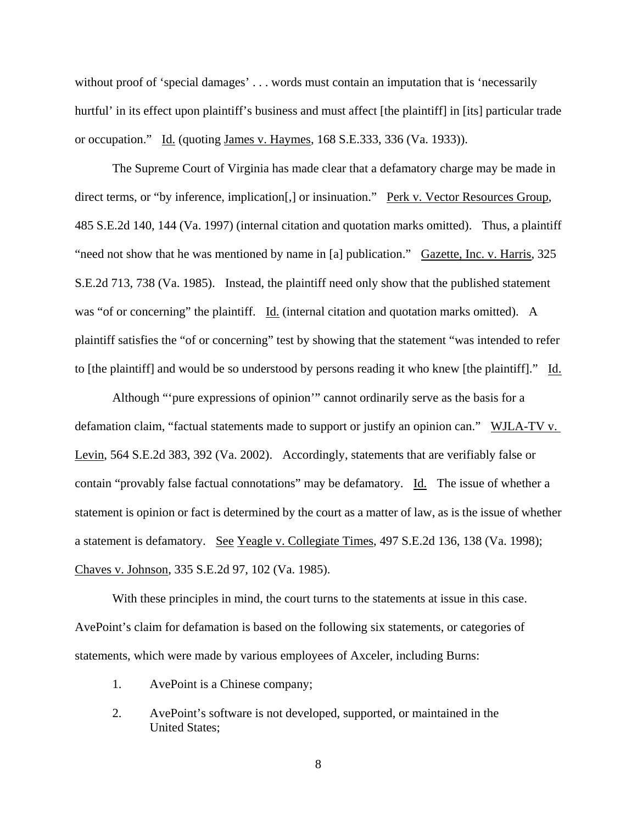without proof of 'special damages' ... words must contain an imputation that is 'necessarily hurtful' in its effect upon plaintiff's business and must affect [the plaintiff] in [its] particular trade or occupation." Id. (quoting James v. Haymes, 168 S.E.333, 336 (Va. 1933)).

 The Supreme Court of Virginia has made clear that a defamatory charge may be made in direct terms, or "by inference, implication[,] or insinuation." Perk v. Vector Resources Group, 485 S.E.2d 140, 144 (Va. 1997) (internal citation and quotation marks omitted). Thus, a plaintiff "need not show that he was mentioned by name in [a] publication." Gazette, Inc. v. Harris, 325 S.E.2d 713, 738 (Va. 1985). Instead, the plaintiff need only show that the published statement was "of or concerning" the plaintiff. Id. (internal citation and quotation marks omitted). A plaintiff satisfies the "of or concerning" test by showing that the statement "was intended to refer to [the plaintiff] and would be so understood by persons reading it who knew [the plaintiff]." Id.

 Although "'pure expressions of opinion'" cannot ordinarily serve as the basis for a defamation claim, "factual statements made to support or justify an opinion can." WJLA-TV v. Levin, 564 S.E.2d 383, 392 (Va. 2002). Accordingly, statements that are verifiably false or contain "provably false factual connotations" may be defamatory. Id. The issue of whether a statement is opinion or fact is determined by the court as a matter of law, as is the issue of whether a statement is defamatory. See Yeagle v. Collegiate Times, 497 S.E.2d 136, 138 (Va. 1998); Chaves v. Johnson, 335 S.E.2d 97, 102 (Va. 1985).

 With these principles in mind, the court turns to the statements at issue in this case. AvePoint's claim for defamation is based on the following six statements, or categories of statements, which were made by various employees of Axceler, including Burns:

- 1. AvePoint is a Chinese company;
- 2. AvePoint's software is not developed, supported, or maintained in the United States;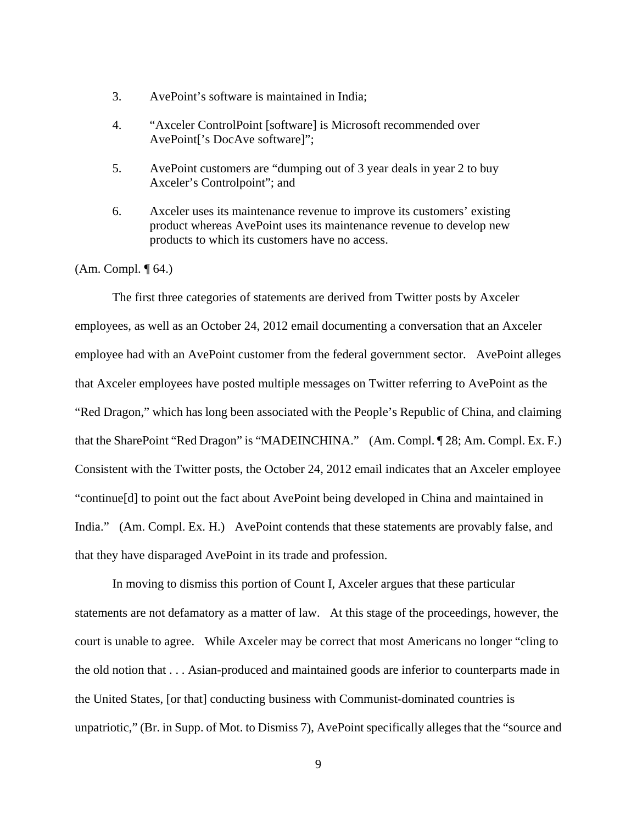- 3. AvePoint's software is maintained in India;
- 4. "Axceler ControlPoint [software] is Microsoft recommended over AvePoint['s DocAve software]";
- 5. AvePoint customers are "dumping out of 3 year deals in year 2 to buy Axceler's Controlpoint"; and
- 6. Axceler uses its maintenance revenue to improve its customers' existing product whereas AvePoint uses its maintenance revenue to develop new products to which its customers have no access.

### (Am. Compl. ¶ 64.)

 The first three categories of statements are derived from Twitter posts by Axceler employees, as well as an October 24, 2012 email documenting a conversation that an Axceler employee had with an AvePoint customer from the federal government sector. AvePoint alleges that Axceler employees have posted multiple messages on Twitter referring to AvePoint as the "Red Dragon," which has long been associated with the People's Republic of China, and claiming that the SharePoint "Red Dragon" is "MADEINCHINA." (Am. Compl. ¶ 28; Am. Compl. Ex. F.) Consistent with the Twitter posts, the October 24, 2012 email indicates that an Axceler employee "continue[d] to point out the fact about AvePoint being developed in China and maintained in India." (Am. Compl. Ex. H.) AvePoint contends that these statements are provably false, and that they have disparaged AvePoint in its trade and profession.

 In moving to dismiss this portion of Count I, Axceler argues that these particular statements are not defamatory as a matter of law. At this stage of the proceedings, however, the court is unable to agree. While Axceler may be correct that most Americans no longer "cling to the old notion that . . . Asian-produced and maintained goods are inferior to counterparts made in the United States, [or that] conducting business with Communist-dominated countries is unpatriotic," (Br. in Supp. of Mot. to Dismiss 7), AvePoint specifically alleges that the "source and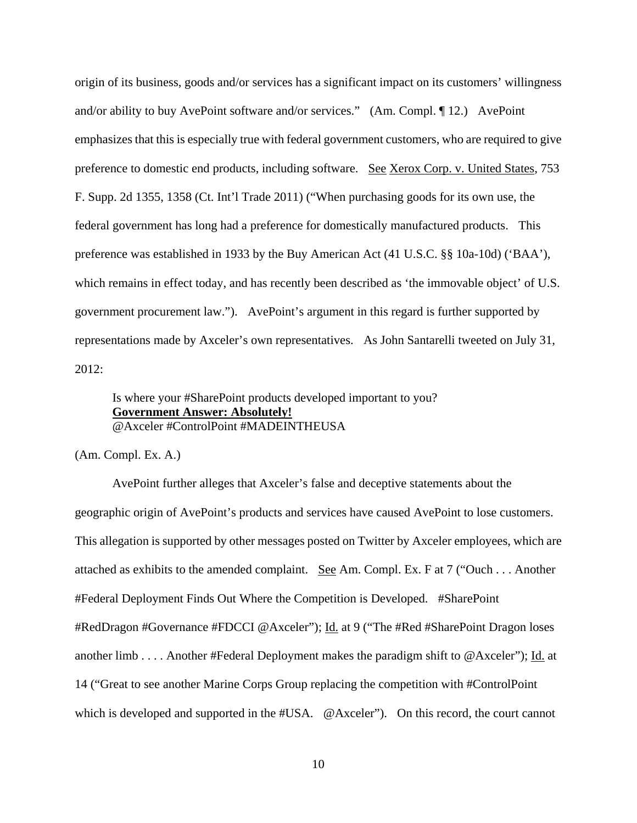origin of its business, goods and/or services has a significant impact on its customers' willingness and/or ability to buy AvePoint software and/or services." (Am. Compl. ¶ 12.) AvePoint emphasizes that this is especially true with federal government customers, who are required to give preference to domestic end products, including software. See Xerox Corp. v. United States, 753 F. Supp. 2d 1355, 1358 (Ct. Int'l Trade 2011) ("When purchasing goods for its own use, the federal government has long had a preference for domestically manufactured products. This preference was established in 1933 by the Buy American Act (41 U.S.C. §§ 10a-10d) ('BAA'), which remains in effect today, and has recently been described as 'the immovable object' of U.S. government procurement law."). AvePoint's argument in this regard is further supported by representations made by Axceler's own representatives. As John Santarelli tweeted on July 31, 2012:

# Is where your #SharePoint products developed important to you? **Government Answer: Absolutely!** @Axceler #ControlPoint #MADEINTHEUSA

(Am. Compl. Ex. A.)

 AvePoint further alleges that Axceler's false and deceptive statements about the geographic origin of AvePoint's products and services have caused AvePoint to lose customers. This allegation is supported by other messages posted on Twitter by Axceler employees, which are attached as exhibits to the amended complaint. See Am. Compl. Ex. F at 7 ("Ouch . . . Another #Federal Deployment Finds Out Where the Competition is Developed. #SharePoint #RedDragon #Governance #FDCCI @Axceler"); Id. at 9 ("The #Red #SharePoint Dragon loses another limb . . . . Another #Federal Deployment makes the paradigm shift to @Axceler"); Id. at 14 ("Great to see another Marine Corps Group replacing the competition with #ControlPoint which is developed and supported in the #USA. @Axceler"). On this record, the court cannot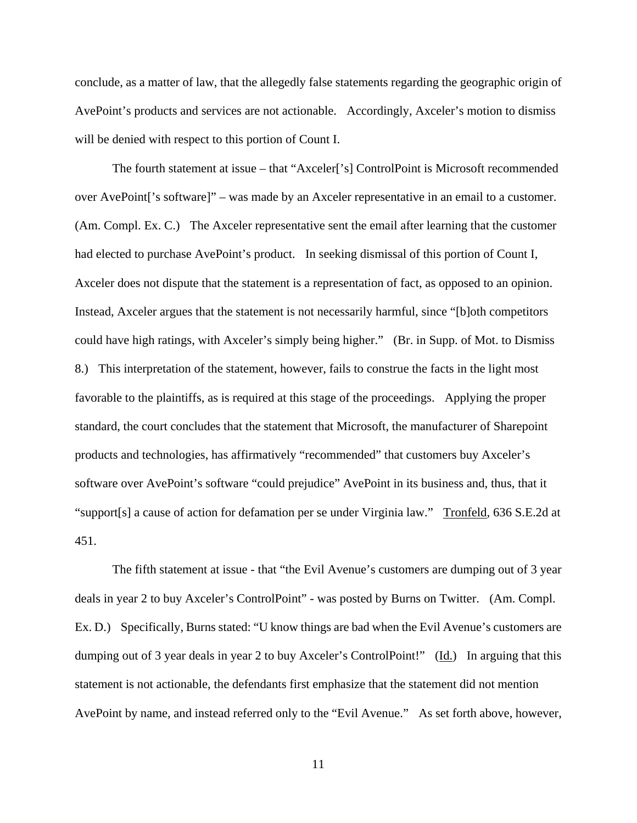conclude, as a matter of law, that the allegedly false statements regarding the geographic origin of AvePoint's products and services are not actionable. Accordingly, Axceler's motion to dismiss will be denied with respect to this portion of Count I.

 The fourth statement at issue – that "Axceler['s] ControlPoint is Microsoft recommended over AvePoint['s software]" – was made by an Axceler representative in an email to a customer. (Am. Compl. Ex. C.) The Axceler representative sent the email after learning that the customer had elected to purchase AvePoint's product. In seeking dismissal of this portion of Count I, Axceler does not dispute that the statement is a representation of fact, as opposed to an opinion. Instead, Axceler argues that the statement is not necessarily harmful, since "[b]oth competitors could have high ratings, with Axceler's simply being higher." (Br. in Supp. of Mot. to Dismiss 8.) This interpretation of the statement, however, fails to construe the facts in the light most favorable to the plaintiffs, as is required at this stage of the proceedings. Applying the proper standard, the court concludes that the statement that Microsoft, the manufacturer of Sharepoint products and technologies, has affirmatively "recommended" that customers buy Axceler's software over AvePoint's software "could prejudice" AvePoint in its business and, thus, that it "support[s] a cause of action for defamation per se under Virginia law." Tronfeld, 636 S.E.2d at 451.

 The fifth statement at issue - that "the Evil Avenue's customers are dumping out of 3 year deals in year 2 to buy Axceler's ControlPoint" - was posted by Burns on Twitter. (Am. Compl. Ex. D.) Specifically, Burns stated: "U know things are bad when the Evil Avenue's customers are dumping out of 3 year deals in year 2 to buy Axceler's ControlPoint!" (Id.) In arguing that this statement is not actionable, the defendants first emphasize that the statement did not mention AvePoint by name, and instead referred only to the "Evil Avenue." As set forth above, however,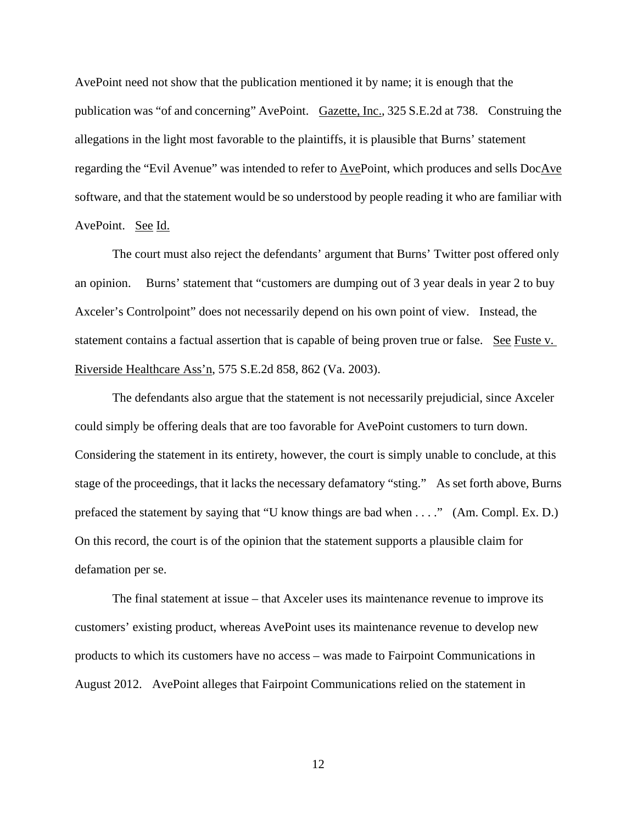AvePoint need not show that the publication mentioned it by name; it is enough that the publication was "of and concerning" AvePoint. Gazette, Inc., 325 S.E.2d at 738. Construing the allegations in the light most favorable to the plaintiffs, it is plausible that Burns' statement regarding the "Evil Avenue" was intended to refer to AvePoint, which produces and sells DocAve software, and that the statement would be so understood by people reading it who are familiar with AvePoint. See Id.

 The court must also reject the defendants' argument that Burns' Twitter post offered only an opinion. Burns' statement that "customers are dumping out of 3 year deals in year 2 to buy Axceler's Controlpoint" does not necessarily depend on his own point of view. Instead, the statement contains a factual assertion that is capable of being proven true or false. See Fuste v. Riverside Healthcare Ass'n, 575 S.E.2d 858, 862 (Va. 2003).

 The defendants also argue that the statement is not necessarily prejudicial, since Axceler could simply be offering deals that are too favorable for AvePoint customers to turn down. Considering the statement in its entirety, however, the court is simply unable to conclude, at this stage of the proceedings, that it lacks the necessary defamatory "sting." As set forth above, Burns prefaced the statement by saying that "U know things are bad when . . . ." (Am. Compl. Ex. D.) On this record, the court is of the opinion that the statement supports a plausible claim for defamation per se.

 The final statement at issue – that Axceler uses its maintenance revenue to improve its customers' existing product, whereas AvePoint uses its maintenance revenue to develop new products to which its customers have no access – was made to Fairpoint Communications in August 2012. AvePoint alleges that Fairpoint Communications relied on the statement in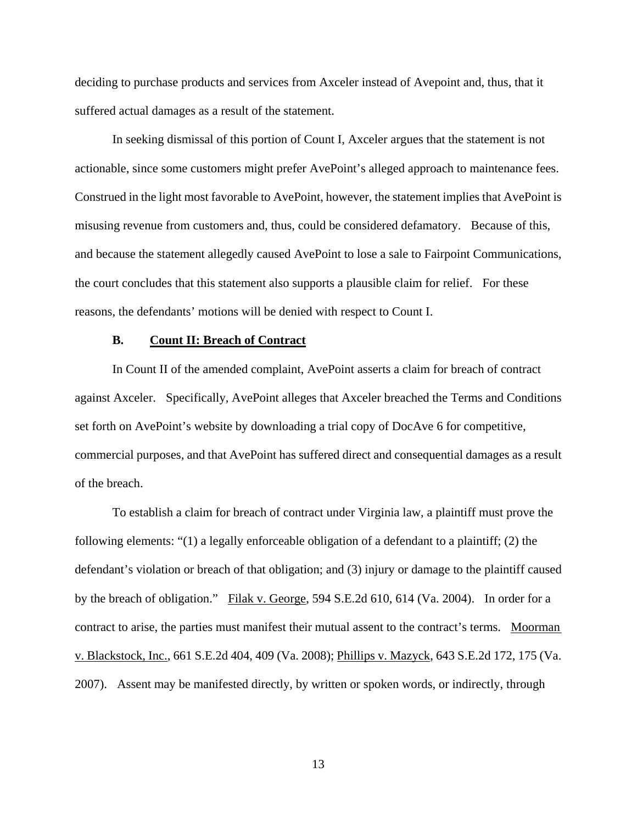deciding to purchase products and services from Axceler instead of Avepoint and, thus, that it suffered actual damages as a result of the statement.

 In seeking dismissal of this portion of Count I, Axceler argues that the statement is not actionable, since some customers might prefer AvePoint's alleged approach to maintenance fees. Construed in the light most favorable to AvePoint, however, the statement implies that AvePoint is misusing revenue from customers and, thus, could be considered defamatory. Because of this, and because the statement allegedly caused AvePoint to lose a sale to Fairpoint Communications, the court concludes that this statement also supports a plausible claim for relief. For these reasons, the defendants' motions will be denied with respect to Count I.

### **B. Count II: Breach of Contract**

 In Count II of the amended complaint, AvePoint asserts a claim for breach of contract against Axceler. Specifically, AvePoint alleges that Axceler breached the Terms and Conditions set forth on AvePoint's website by downloading a trial copy of DocAve 6 for competitive, commercial purposes, and that AvePoint has suffered direct and consequential damages as a result of the breach.

 To establish a claim for breach of contract under Virginia law, a plaintiff must prove the following elements: "(1) a legally enforceable obligation of a defendant to a plaintiff; (2) the defendant's violation or breach of that obligation; and (3) injury or damage to the plaintiff caused by the breach of obligation." Filak v. George, 594 S.E.2d 610, 614 (Va. 2004). In order for a contract to arise, the parties must manifest their mutual assent to the contract's terms. Moorman v. Blackstock, Inc., 661 S.E.2d 404, 409 (Va. 2008); Phillips v. Mazyck, 643 S.E.2d 172, 175 (Va. 2007). Assent may be manifested directly, by written or spoken words, or indirectly, through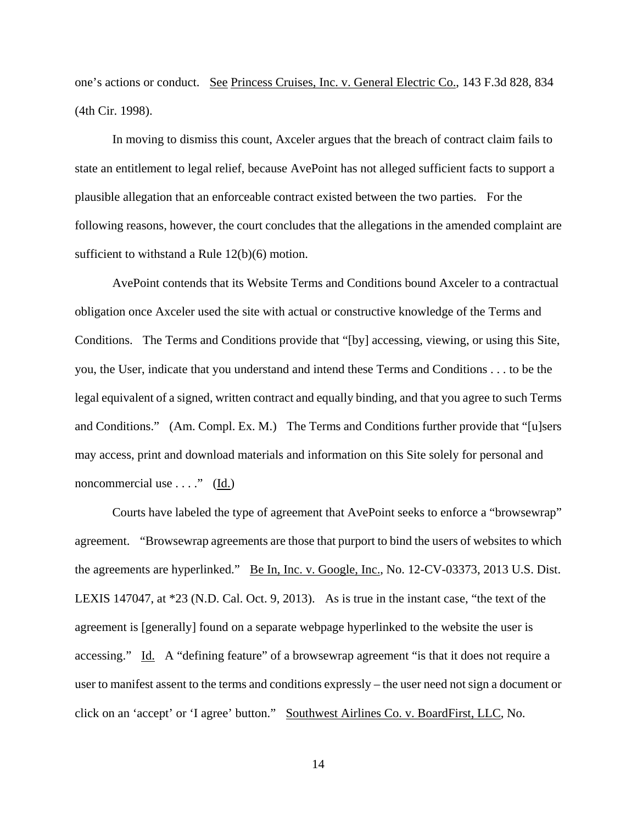one's actions or conduct. See Princess Cruises, Inc. v. General Electric Co., 143 F.3d 828, 834 (4th Cir. 1998).

 In moving to dismiss this count, Axceler argues that the breach of contract claim fails to state an entitlement to legal relief, because AvePoint has not alleged sufficient facts to support a plausible allegation that an enforceable contract existed between the two parties. For the following reasons, however, the court concludes that the allegations in the amended complaint are sufficient to withstand a Rule 12(b)(6) motion.

 AvePoint contends that its Website Terms and Conditions bound Axceler to a contractual obligation once Axceler used the site with actual or constructive knowledge of the Terms and Conditions. The Terms and Conditions provide that "[by] accessing, viewing, or using this Site, you, the User, indicate that you understand and intend these Terms and Conditions . . . to be the legal equivalent of a signed, written contract and equally binding, and that you agree to such Terms and Conditions." (Am. Compl. Ex. M.) The Terms and Conditions further provide that "[u]sers may access, print and download materials and information on this Site solely for personal and noncommercial use  $\dots$ ." (Id.)

 Courts have labeled the type of agreement that AvePoint seeks to enforce a "browsewrap" agreement. "Browsewrap agreements are those that purport to bind the users of websites to which the agreements are hyperlinked." Be In, Inc. v. Google, Inc., No. 12-CV-03373, 2013 U.S. Dist. LEXIS 147047, at \*23 (N.D. Cal. Oct. 9, 2013). As is true in the instant case, "the text of the agreement is [generally] found on a separate webpage hyperlinked to the website the user is accessing." Id. A "defining feature" of a browsewrap agreement "is that it does not require a user to manifest assent to the terms and conditions expressly – the user need not sign a document or click on an 'accept' or 'I agree' button." Southwest Airlines Co. v. BoardFirst, LLC, No.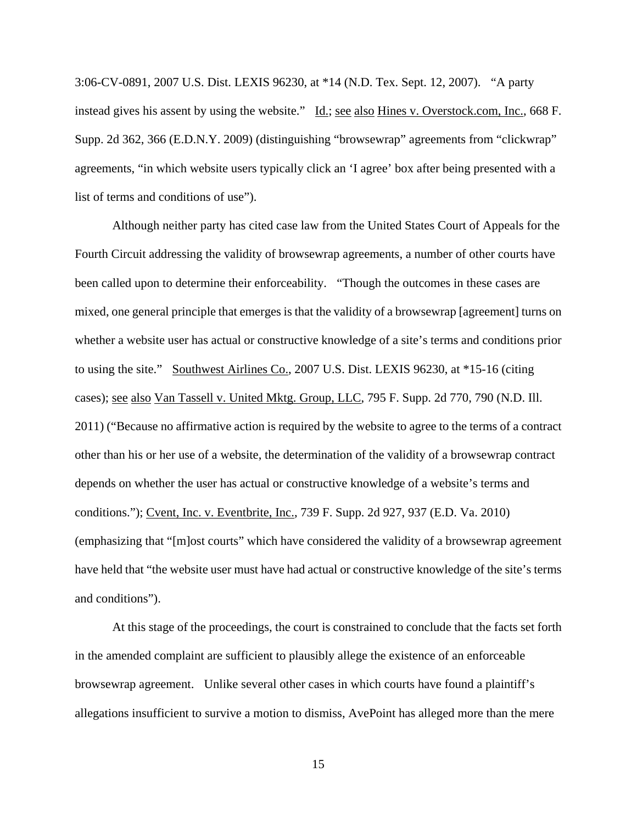3:06-CV-0891, 2007 U.S. Dist. LEXIS 96230, at \*14 (N.D. Tex. Sept. 12, 2007). "A party instead gives his assent by using the website." Id.; see also Hines v. Overstock.com, Inc., 668 F. Supp. 2d 362, 366 (E.D.N.Y. 2009) (distinguishing "browsewrap" agreements from "clickwrap" agreements, "in which website users typically click an 'I agree' box after being presented with a list of terms and conditions of use").

 Although neither party has cited case law from the United States Court of Appeals for the Fourth Circuit addressing the validity of browsewrap agreements, a number of other courts have been called upon to determine their enforceability. "Though the outcomes in these cases are mixed, one general principle that emerges is that the validity of a browsewrap [agreement] turns on whether a website user has actual or constructive knowledge of a site's terms and conditions prior to using the site." Southwest Airlines Co., 2007 U.S. Dist. LEXIS 96230, at \*15-16 (citing cases); see also Van Tassell v. United Mktg. Group, LLC, 795 F. Supp. 2d 770, 790 (N.D. Ill. 2011) ("Because no affirmative action is required by the website to agree to the terms of a contract other than his or her use of a website, the determination of the validity of a browsewrap contract depends on whether the user has actual or constructive knowledge of a website's terms and conditions."); Cvent, Inc. v. Eventbrite, Inc., 739 F. Supp. 2d 927, 937 (E.D. Va. 2010) (emphasizing that "[m]ost courts" which have considered the validity of a browsewrap agreement have held that "the website user must have had actual or constructive knowledge of the site's terms and conditions").

 At this stage of the proceedings, the court is constrained to conclude that the facts set forth in the amended complaint are sufficient to plausibly allege the existence of an enforceable browsewrap agreement. Unlike several other cases in which courts have found a plaintiff's allegations insufficient to survive a motion to dismiss, AvePoint has alleged more than the mere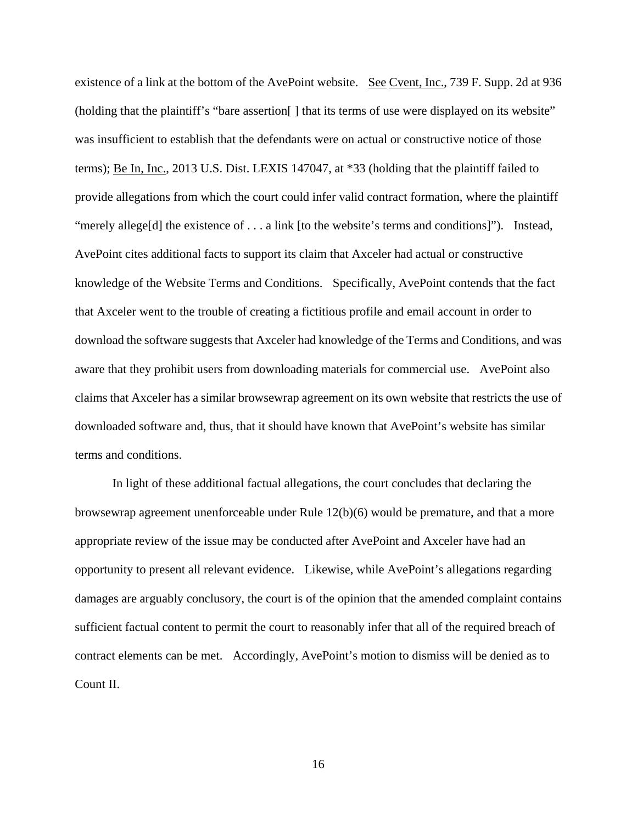existence of a link at the bottom of the AvePoint website. See Cvent, Inc., 739 F. Supp. 2d at 936 (holding that the plaintiff's "bare assertion[ ] that its terms of use were displayed on its website" was insufficient to establish that the defendants were on actual or constructive notice of those terms); Be In, Inc., 2013 U.S. Dist. LEXIS 147047, at \*33 (holding that the plaintiff failed to provide allegations from which the court could infer valid contract formation, where the plaintiff "merely allege[d] the existence of . . . a link [to the website's terms and conditions]"). Instead, AvePoint cites additional facts to support its claim that Axceler had actual or constructive knowledge of the Website Terms and Conditions. Specifically, AvePoint contends that the fact that Axceler went to the trouble of creating a fictitious profile and email account in order to download the software suggests that Axceler had knowledge of the Terms and Conditions, and was aware that they prohibit users from downloading materials for commercial use. AvePoint also claims that Axceler has a similar browsewrap agreement on its own website that restricts the use of downloaded software and, thus, that it should have known that AvePoint's website has similar terms and conditions.

 In light of these additional factual allegations, the court concludes that declaring the browsewrap agreement unenforceable under Rule 12(b)(6) would be premature, and that a more appropriate review of the issue may be conducted after AvePoint and Axceler have had an opportunity to present all relevant evidence. Likewise, while AvePoint's allegations regarding damages are arguably conclusory, the court is of the opinion that the amended complaint contains sufficient factual content to permit the court to reasonably infer that all of the required breach of contract elements can be met. Accordingly, AvePoint's motion to dismiss will be denied as to Count II.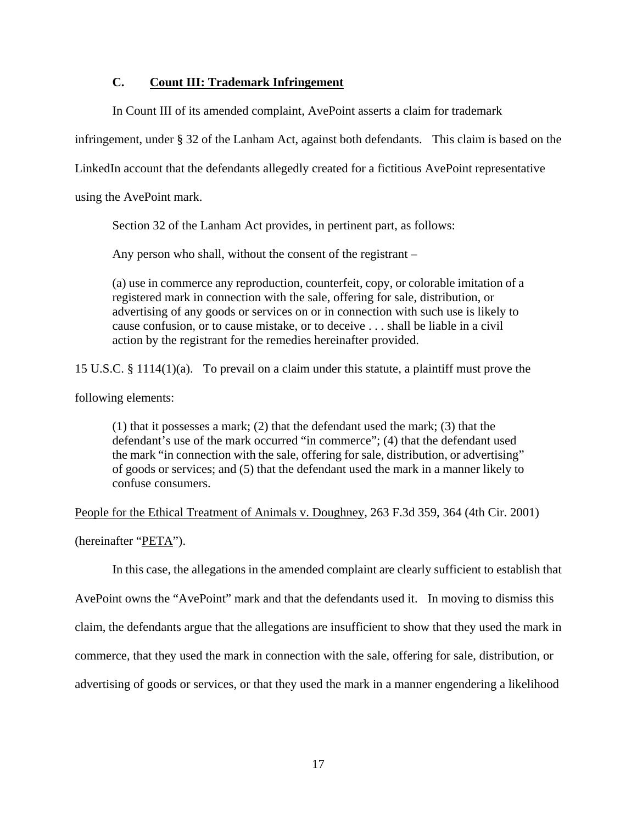## **C. Count III: Trademark Infringement**

In Count III of its amended complaint, AvePoint asserts a claim for trademark

infringement, under § 32 of the Lanham Act, against both defendants. This claim is based on the

LinkedIn account that the defendants allegedly created for a fictitious AvePoint representative

using the AvePoint mark.

Section 32 of the Lanham Act provides, in pertinent part, as follows:

Any person who shall, without the consent of the registrant –

(a) use in commerce any reproduction, counterfeit, copy, or colorable imitation of a registered mark in connection with the sale, offering for sale, distribution, or advertising of any goods or services on or in connection with such use is likely to cause confusion, or to cause mistake, or to deceive . . . shall be liable in a civil action by the registrant for the remedies hereinafter provided.

15 U.S.C. § 1114(1)(a). To prevail on a claim under this statute, a plaintiff must prove the

following elements:

(1) that it possesses a mark; (2) that the defendant used the mark; (3) that the defendant's use of the mark occurred "in commerce"; (4) that the defendant used the mark "in connection with the sale, offering for sale, distribution, or advertising" of goods or services; and (5) that the defendant used the mark in a manner likely to confuse consumers.

People for the Ethical Treatment of Animals v. Doughney, 263 F.3d 359, 364 (4th Cir. 2001) (hereinafter "PETA").

In this case, the allegations in the amended complaint are clearly sufficient to establish that

AvePoint owns the "AvePoint" mark and that the defendants used it. In moving to dismiss this claim, the defendants argue that the allegations are insufficient to show that they used the mark in commerce, that they used the mark in connection with the sale, offering for sale, distribution, or advertising of goods or services, or that they used the mark in a manner engendering a likelihood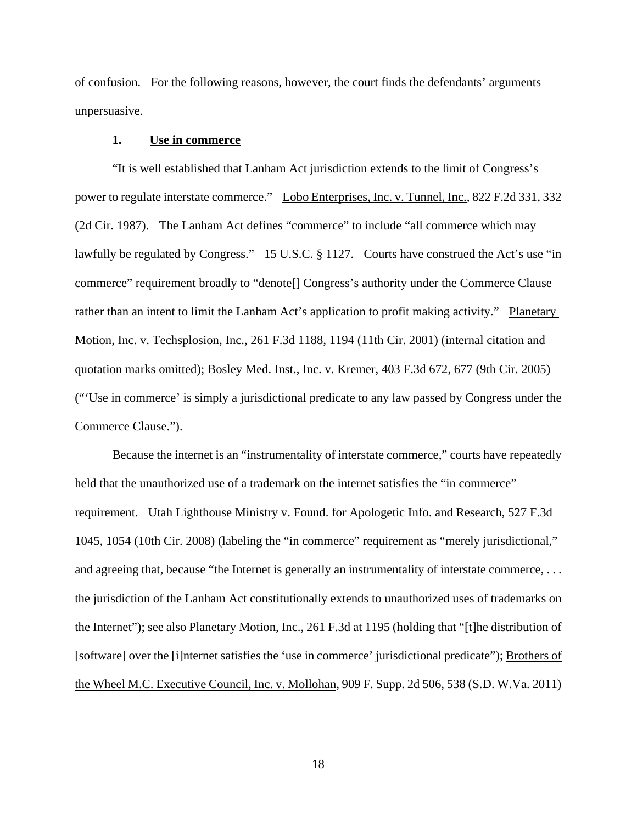of confusion. For the following reasons, however, the court finds the defendants' arguments unpersuasive.

### **1. Use in commerce**

 "It is well established that Lanham Act jurisdiction extends to the limit of Congress's power to regulate interstate commerce." Lobo Enterprises, Inc. v. Tunnel, Inc., 822 F.2d 331, 332 (2d Cir. 1987). The Lanham Act defines "commerce" to include "all commerce which may lawfully be regulated by Congress." 15 U.S.C. § 1127. Courts have construed the Act's use "in commerce" requirement broadly to "denote[] Congress's authority under the Commerce Clause rather than an intent to limit the Lanham Act's application to profit making activity." Planetary Motion, Inc. v. Techsplosion, Inc., 261 F.3d 1188, 1194 (11th Cir. 2001) (internal citation and quotation marks omitted); Bosley Med. Inst., Inc. v. Kremer, 403 F.3d 672, 677 (9th Cir. 2005) ("'Use in commerce' is simply a jurisdictional predicate to any law passed by Congress under the Commerce Clause.").

 Because the internet is an "instrumentality of interstate commerce," courts have repeatedly held that the unauthorized use of a trademark on the internet satisfies the "in commerce" requirement. Utah Lighthouse Ministry v. Found. for Apologetic Info. and Research, 527 F.3d 1045, 1054 (10th Cir. 2008) (labeling the "in commerce" requirement as "merely jurisdictional," and agreeing that, because "the Internet is generally an instrumentality of interstate commerce, ... the jurisdiction of the Lanham Act constitutionally extends to unauthorized uses of trademarks on the Internet"); see also Planetary Motion, Inc., 261 F.3d at 1195 (holding that "[t]he distribution of [software] over the [i]nternet satisfies the 'use in commerce' jurisdictional predicate"); Brothers of the Wheel M.C. Executive Council, Inc. v. Mollohan, 909 F. Supp. 2d 506, 538 (S.D. W.Va. 2011)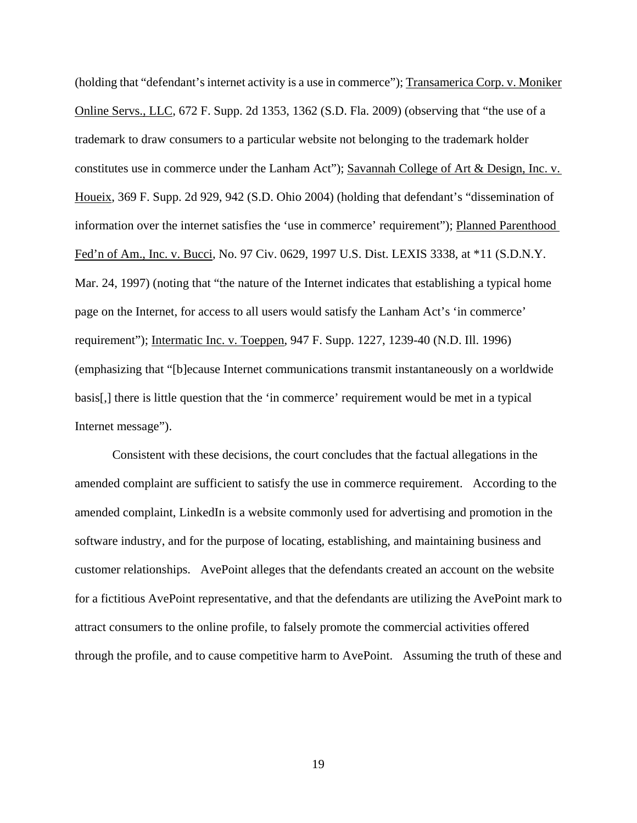(holding that "defendant's internet activity is a use in commerce"); Transamerica Corp. v. Moniker Online Servs., LLC, 672 F. Supp. 2d 1353, 1362 (S.D. Fla. 2009) (observing that "the use of a trademark to draw consumers to a particular website not belonging to the trademark holder constitutes use in commerce under the Lanham Act"); Savannah College of Art & Design, Inc. v. Houeix, 369 F. Supp. 2d 929, 942 (S.D. Ohio 2004) (holding that defendant's "dissemination of information over the internet satisfies the 'use in commerce' requirement"); Planned Parenthood Fed'n of Am., Inc. v. Bucci, No. 97 Civ. 0629, 1997 U.S. Dist. LEXIS 3338, at \*11 (S.D.N.Y. Mar. 24, 1997) (noting that "the nature of the Internet indicates that establishing a typical home page on the Internet, for access to all users would satisfy the Lanham Act's 'in commerce' requirement"); Intermatic Inc. v. Toeppen, 947 F. Supp. 1227, 1239-40 (N.D. Ill. 1996) (emphasizing that "[b]ecause Internet communications transmit instantaneously on a worldwide basis[,] there is little question that the 'in commerce' requirement would be met in a typical Internet message").

 Consistent with these decisions, the court concludes that the factual allegations in the amended complaint are sufficient to satisfy the use in commerce requirement. According to the amended complaint, LinkedIn is a website commonly used for advertising and promotion in the software industry, and for the purpose of locating, establishing, and maintaining business and customer relationships. AvePoint alleges that the defendants created an account on the website for a fictitious AvePoint representative, and that the defendants are utilizing the AvePoint mark to attract consumers to the online profile, to falsely promote the commercial activities offered through the profile, and to cause competitive harm to AvePoint. Assuming the truth of these and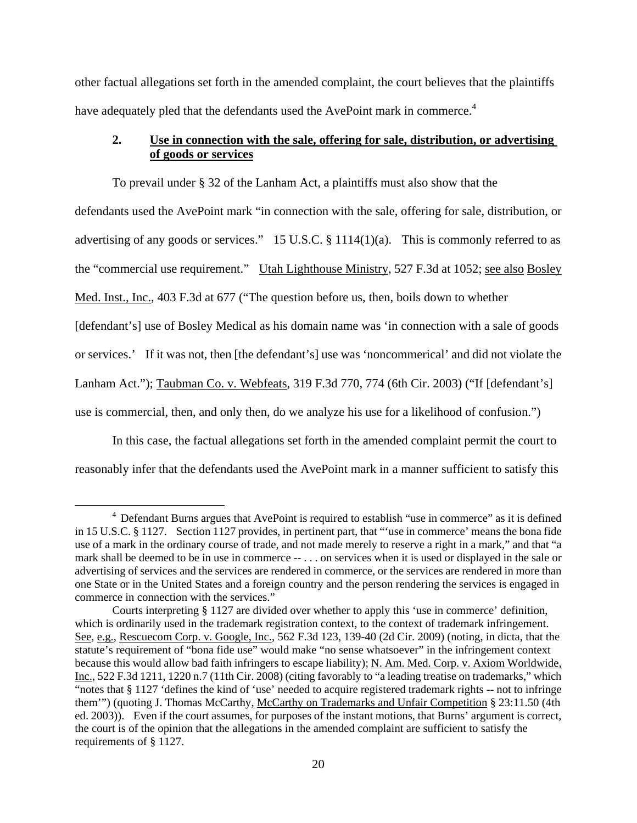other factual allegations set forth in the amended complaint, the court believes that the plaintiffs have adequately pled that the defendants used the AvePoint mark in commerce.<sup>4</sup>

# **2. Use in connection with the sale, offering for sale, distribution, or advertising of goods or services**

 To prevail under § 32 of the Lanham Act, a plaintiffs must also show that the defendants used the AvePoint mark "in connection with the sale, offering for sale, distribution, or advertising of any goods or services." 15 U.S.C.  $\S$  1114(1)(a). This is commonly referred to as the "commercial use requirement." Utah Lighthouse Ministry, 527 F.3d at 1052; see also Bosley Med. Inst., Inc., 403 F.3d at 677 ("The question before us, then, boils down to whether [defendant's] use of Bosley Medical as his domain name was 'in connection with a sale of goods or services.' If it was not, then [the defendant's] use was 'noncommerical' and did not violate the Lanham Act."); Taubman Co. v. Webfeats, 319 F.3d 770, 774 (6th Cir. 2003) ("If [defendant's] use is commercial, then, and only then, do we analyze his use for a likelihood of confusion.")

 In this case, the factual allegations set forth in the amended complaint permit the court to reasonably infer that the defendants used the AvePoint mark in a manner sufficient to satisfy this

 $\overline{4}$ <sup>4</sup> Defendant Burns argues that AvePoint is required to establish "use in commerce" as it is defined in 15 U.S.C. § 1127. Section 1127 provides, in pertinent part, that "'use in commerce' means the bona fide use of a mark in the ordinary course of trade, and not made merely to reserve a right in a mark," and that "a mark shall be deemed to be in use in commerce -- . . . on services when it is used or displayed in the sale or advertising of services and the services are rendered in commerce, or the services are rendered in more than one State or in the United States and a foreign country and the person rendering the services is engaged in commerce in connection with the services."

Courts interpreting § 1127 are divided over whether to apply this 'use in commerce' definition, which is ordinarily used in the trademark registration context, to the context of trademark infringement. See, e.g., Rescuecom Corp. v. Google, Inc., 562 F.3d 123, 139-40 (2d Cir. 2009) (noting, in dicta, that the statute's requirement of "bona fide use" would make "no sense whatsoever" in the infringement context because this would allow bad faith infringers to escape liability); N. Am. Med. Corp. v. Axiom Worldwide, Inc., 522 F.3d 1211, 1220 n.7 (11th Cir. 2008) (citing favorably to "a leading treatise on trademarks," which "notes that § 1127 'defines the kind of 'use' needed to acquire registered trademark rights -- not to infringe them"") (quoting J. Thomas McCarthy, McCarthy on Trademarks and Unfair Competition § 23:11.50 (4th ed. 2003)). Even if the court assumes, for purposes of the instant motions, that Burns' argument is correct, the court is of the opinion that the allegations in the amended complaint are sufficient to satisfy the requirements of § 1127.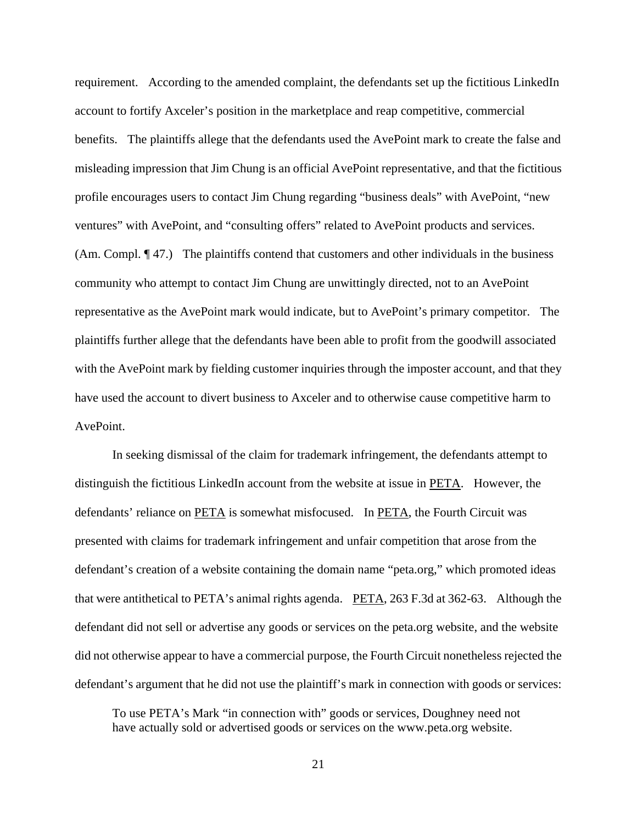requirement. According to the amended complaint, the defendants set up the fictitious LinkedIn account to fortify Axceler's position in the marketplace and reap competitive, commercial benefits. The plaintiffs allege that the defendants used the AvePoint mark to create the false and misleading impression that Jim Chung is an official AvePoint representative, and that the fictitious profile encourages users to contact Jim Chung regarding "business deals" with AvePoint, "new ventures" with AvePoint, and "consulting offers" related to AvePoint products and services. (Am. Compl. ¶ 47.) The plaintiffs contend that customers and other individuals in the business community who attempt to contact Jim Chung are unwittingly directed, not to an AvePoint representative as the AvePoint mark would indicate, but to AvePoint's primary competitor. The plaintiffs further allege that the defendants have been able to profit from the goodwill associated with the AvePoint mark by fielding customer inquiries through the imposter account, and that they have used the account to divert business to Axceler and to otherwise cause competitive harm to AvePoint.

 In seeking dismissal of the claim for trademark infringement, the defendants attempt to distinguish the fictitious LinkedIn account from the website at issue in PETA. However, the defendants' reliance on PETA is somewhat misfocused. In PETA, the Fourth Circuit was presented with claims for trademark infringement and unfair competition that arose from the defendant's creation of a website containing the domain name "peta.org," which promoted ideas that were antithetical to PETA's animal rights agenda. PETA, 263 F.3d at 362-63. Although the defendant did not sell or advertise any goods or services on the peta.org website, and the website did not otherwise appear to have a commercial purpose, the Fourth Circuit nonetheless rejected the defendant's argument that he did not use the plaintiff's mark in connection with goods or services:

To use PETA's Mark "in connection with" goods or services, Doughney need not have actually sold or advertised goods or services on the www.peta.org website.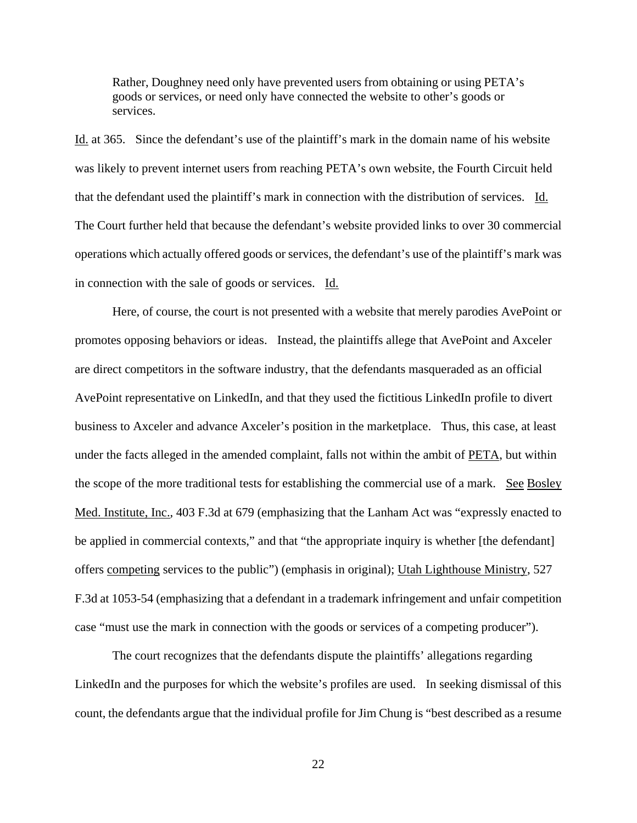Rather, Doughney need only have prevented users from obtaining or using PETA's goods or services, or need only have connected the website to other's goods or services.

Id. at 365. Since the defendant's use of the plaintiff's mark in the domain name of his website was likely to prevent internet users from reaching PETA's own website, the Fourth Circuit held that the defendant used the plaintiff's mark in connection with the distribution of services. Id. The Court further held that because the defendant's website provided links to over 30 commercial operations which actually offered goods or services, the defendant's use of the plaintiff's mark was in connection with the sale of goods or services. Id.

 Here, of course, the court is not presented with a website that merely parodies AvePoint or promotes opposing behaviors or ideas. Instead, the plaintiffs allege that AvePoint and Axceler are direct competitors in the software industry, that the defendants masqueraded as an official AvePoint representative on LinkedIn, and that they used the fictitious LinkedIn profile to divert business to Axceler and advance Axceler's position in the marketplace. Thus, this case, at least under the facts alleged in the amended complaint, falls not within the ambit of PETA, but within the scope of the more traditional tests for establishing the commercial use of a mark. See Bosley Med. Institute, Inc., 403 F.3d at 679 (emphasizing that the Lanham Act was "expressly enacted to be applied in commercial contexts," and that "the appropriate inquiry is whether [the defendant] offers competing services to the public") (emphasis in original); Utah Lighthouse Ministry, 527 F.3d at 1053-54 (emphasizing that a defendant in a trademark infringement and unfair competition case "must use the mark in connection with the goods or services of a competing producer").

 The court recognizes that the defendants dispute the plaintiffs' allegations regarding LinkedIn and the purposes for which the website's profiles are used. In seeking dismissal of this count, the defendants argue that the individual profile for Jim Chung is "best described as a resume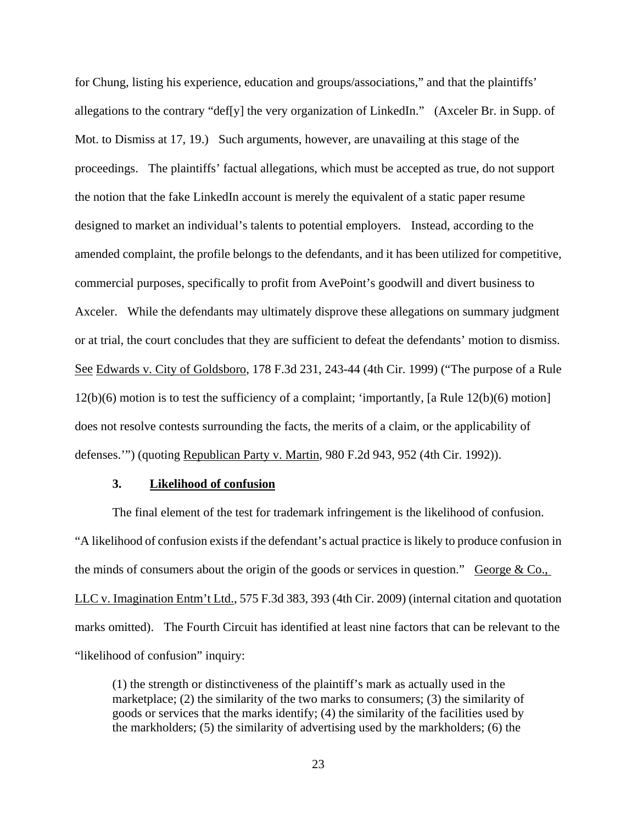for Chung, listing his experience, education and groups/associations," and that the plaintiffs' allegations to the contrary "def[y] the very organization of LinkedIn." (Axceler Br. in Supp. of Mot. to Dismiss at 17, 19.) Such arguments, however, are unavailing at this stage of the proceedings. The plaintiffs' factual allegations, which must be accepted as true, do not support the notion that the fake LinkedIn account is merely the equivalent of a static paper resume designed to market an individual's talents to potential employers. Instead, according to the amended complaint, the profile belongs to the defendants, and it has been utilized for competitive, commercial purposes, specifically to profit from AvePoint's goodwill and divert business to Axceler. While the defendants may ultimately disprove these allegations on summary judgment or at trial, the court concludes that they are sufficient to defeat the defendants' motion to dismiss. See Edwards v. City of Goldsboro, 178 F.3d 231, 243-44 (4th Cir. 1999) ("The purpose of a Rule 12(b)(6) motion is to test the sufficiency of a complaint; 'importantly, [a Rule 12(b)(6) motion] does not resolve contests surrounding the facts, the merits of a claim, or the applicability of defenses.'") (quoting Republican Party v. Martin, 980 F.2d 943, 952 (4th Cir. 1992)).

### **3. Likelihood of confusion**

 The final element of the test for trademark infringement is the likelihood of confusion. "A likelihood of confusion exists if the defendant's actual practice is likely to produce confusion in the minds of consumers about the origin of the goods or services in question." George & Co., LLC v. Imagination Entm't Ltd., 575 F.3d 383, 393 (4th Cir. 2009) (internal citation and quotation marks omitted). The Fourth Circuit has identified at least nine factors that can be relevant to the "likelihood of confusion" inquiry:

(1) the strength or distinctiveness of the plaintiff's mark as actually used in the marketplace; (2) the similarity of the two marks to consumers; (3) the similarity of goods or services that the marks identify; (4) the similarity of the facilities used by the markholders; (5) the similarity of advertising used by the markholders; (6) the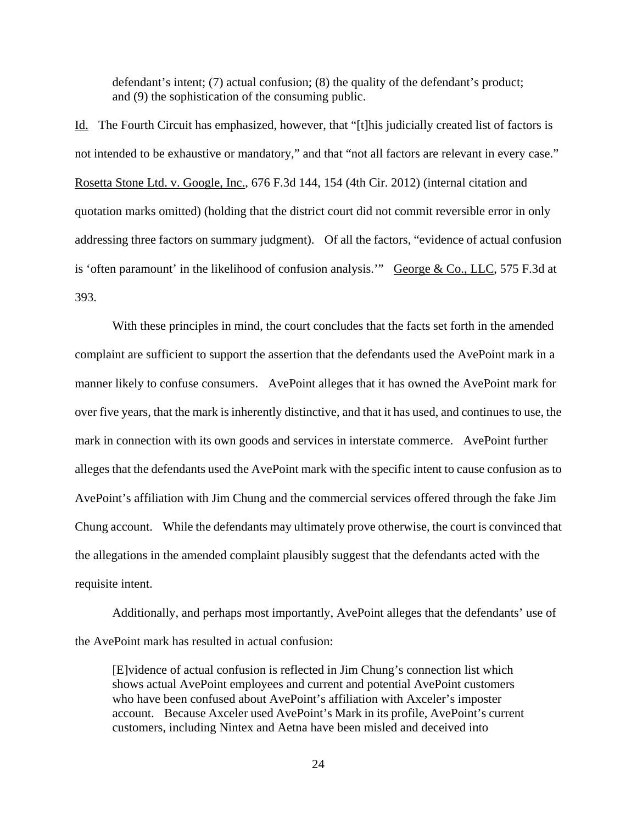defendant's intent; (7) actual confusion; (8) the quality of the defendant's product; and (9) the sophistication of the consuming public.

Id. The Fourth Circuit has emphasized, however, that "[t]his judicially created list of factors is not intended to be exhaustive or mandatory," and that "not all factors are relevant in every case." Rosetta Stone Ltd. v. Google, Inc., 676 F.3d 144, 154 (4th Cir. 2012) (internal citation and quotation marks omitted) (holding that the district court did not commit reversible error in only addressing three factors on summary judgment). Of all the factors, "evidence of actual confusion is 'often paramount' in the likelihood of confusion analysis." George & Co., LLC, 575 F.3d at 393.

 With these principles in mind, the court concludes that the facts set forth in the amended complaint are sufficient to support the assertion that the defendants used the AvePoint mark in a manner likely to confuse consumers. AvePoint alleges that it has owned the AvePoint mark for over five years, that the mark is inherently distinctive, and that it has used, and continues to use, the mark in connection with its own goods and services in interstate commerce. AvePoint further alleges that the defendants used the AvePoint mark with the specific intent to cause confusion as to AvePoint's affiliation with Jim Chung and the commercial services offered through the fake Jim Chung account. While the defendants may ultimately prove otherwise, the court is convinced that the allegations in the amended complaint plausibly suggest that the defendants acted with the requisite intent.

 Additionally, and perhaps most importantly, AvePoint alleges that the defendants' use of the AvePoint mark has resulted in actual confusion:

[E]vidence of actual confusion is reflected in Jim Chung's connection list which shows actual AvePoint employees and current and potential AvePoint customers who have been confused about AvePoint's affiliation with Axceler's imposter account. Because Axceler used AvePoint's Mark in its profile, AvePoint's current customers, including Nintex and Aetna have been misled and deceived into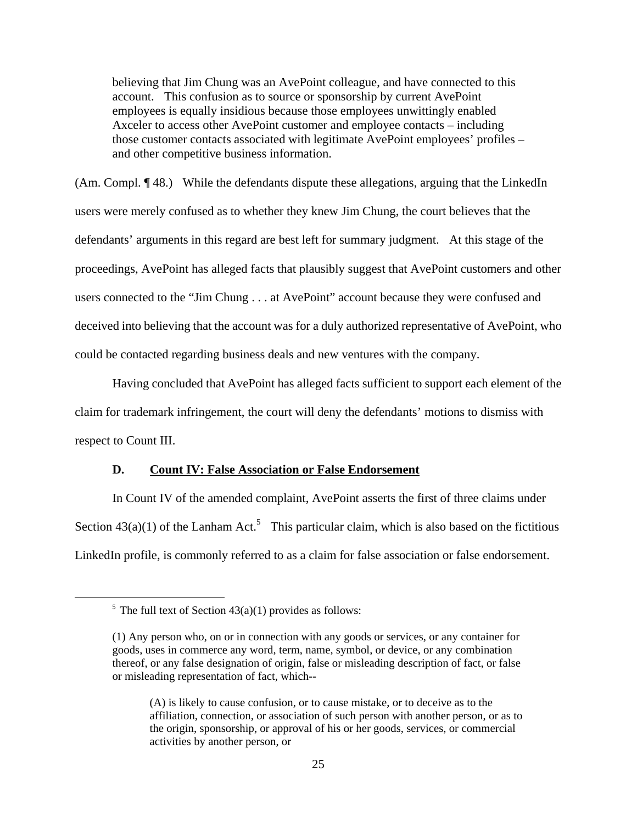believing that Jim Chung was an AvePoint colleague, and have connected to this account. This confusion as to source or sponsorship by current AvePoint employees is equally insidious because those employees unwittingly enabled Axceler to access other AvePoint customer and employee contacts – including those customer contacts associated with legitimate AvePoint employees' profiles – and other competitive business information.

(Am. Compl. ¶ 48.) While the defendants dispute these allegations, arguing that the LinkedIn users were merely confused as to whether they knew Jim Chung, the court believes that the defendants' arguments in this regard are best left for summary judgment. At this stage of the proceedings, AvePoint has alleged facts that plausibly suggest that AvePoint customers and other users connected to the "Jim Chung . . . at AvePoint" account because they were confused and deceived into believing that the account was for a duly authorized representative of AvePoint, who could be contacted regarding business deals and new ventures with the company.

 Having concluded that AvePoint has alleged facts sufficient to support each element of the claim for trademark infringement, the court will deny the defendants' motions to dismiss with respect to Count III.

### **D. Count IV: False Association or False Endorsement**

 In Count IV of the amended complaint, AvePoint asserts the first of three claims under Section  $43(a)(1)$  of the Lanham Act.<sup>5</sup> This particular claim, which is also based on the fictitious LinkedIn profile, is commonly referred to as a claim for false association or false endorsement.

 $<sup>5</sup>$  The full text of Section 43(a)(1) provides as follows:</sup>

<sup>(1)</sup> Any person who, on or in connection with any goods or services, or any container for goods, uses in commerce any word, term, name, symbol, or device, or any combination thereof, or any false designation of origin, false or misleading description of fact, or false or misleading representation of fact, which--

<sup>(</sup>A) is likely to cause confusion, or to cause mistake, or to deceive as to the affiliation, connection, or association of such person with another person, or as to the origin, sponsorship, or approval of his or her goods, services, or commercial activities by another person, or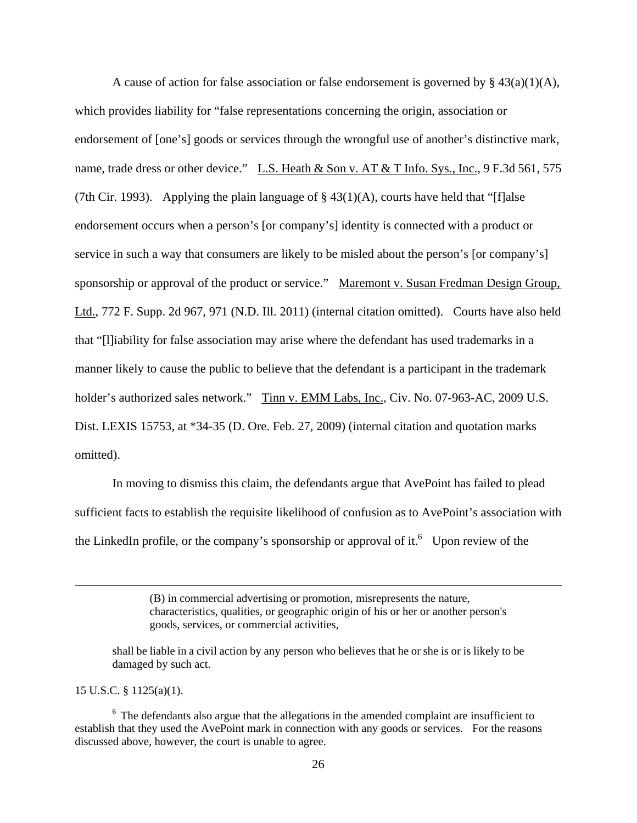A cause of action for false association or false endorsement is governed by §  $43(a)(1)(A)$ , which provides liability for "false representations concerning the origin, association or endorsement of [one's] goods or services through the wrongful use of another's distinctive mark, name, trade dress or other device." L.S. Heath & Son v. AT & T Info. Sys., Inc., 9 F.3d 561, 575 (7th Cir. 1993). Applying the plain language of  $\S$  43(1)(A), courts have held that "[f]alse endorsement occurs when a person's [or company's] identity is connected with a product or service in such a way that consumers are likely to be misled about the person's [or company's] sponsorship or approval of the product or service." Maremont v. Susan Fredman Design Group, Ltd., 772 F. Supp. 2d 967, 971 (N.D. Ill. 2011) (internal citation omitted). Courts have also held that "[l]iability for false association may arise where the defendant has used trademarks in a manner likely to cause the public to believe that the defendant is a participant in the trademark holder's authorized sales network." Tinn v. EMM Labs, Inc., Civ. No. 07-963-AC, 2009 U.S. Dist. LEXIS 15753, at \*34-35 (D. Ore. Feb. 27, 2009) (internal citation and quotation marks omitted).

 In moving to dismiss this claim, the defendants argue that AvePoint has failed to plead sufficient facts to establish the requisite likelihood of confusion as to AvePoint's association with the LinkedIn profile, or the company's sponsorship or approval of it.<sup>6</sup> Upon review of the

> (B) in commercial advertising or promotion, misrepresents the nature, characteristics, qualities, or geographic origin of his or her or another person's goods, services, or commercial activities,

15 U.S.C. § 1125(a)(1).

 $\overline{a}$ 

shall be liable in a civil action by any person who believes that he or she is or is likely to be damaged by such act.

 $6$  The defendants also argue that the allegations in the amended complaint are insufficient to establish that they used the AvePoint mark in connection with any goods or services. For the reasons discussed above, however, the court is unable to agree.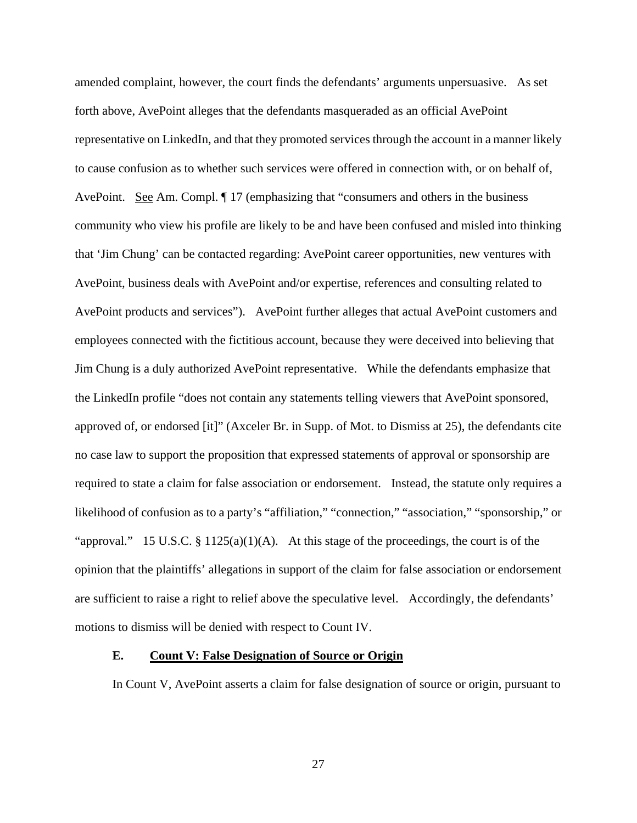amended complaint, however, the court finds the defendants' arguments unpersuasive. As set forth above, AvePoint alleges that the defendants masqueraded as an official AvePoint representative on LinkedIn, and that they promoted services through the account in a manner likely to cause confusion as to whether such services were offered in connection with, or on behalf of, AvePoint. See Am. Compl. ¶ 17 (emphasizing that "consumers and others in the business community who view his profile are likely to be and have been confused and misled into thinking that 'Jim Chung' can be contacted regarding: AvePoint career opportunities, new ventures with AvePoint, business deals with AvePoint and/or expertise, references and consulting related to AvePoint products and services"). AvePoint further alleges that actual AvePoint customers and employees connected with the fictitious account, because they were deceived into believing that Jim Chung is a duly authorized AvePoint representative. While the defendants emphasize that the LinkedIn profile "does not contain any statements telling viewers that AvePoint sponsored, approved of, or endorsed [it]" (Axceler Br. in Supp. of Mot. to Dismiss at 25), the defendants cite no case law to support the proposition that expressed statements of approval or sponsorship are required to state a claim for false association or endorsement. Instead, the statute only requires a likelihood of confusion as to a party's "affiliation," "connection," "association," "sponsorship," or "approval." 15 U.S.C. § 1125(a)(1)(A). At this stage of the proceedings, the court is of the opinion that the plaintiffs' allegations in support of the claim for false association or endorsement are sufficient to raise a right to relief above the speculative level. Accordingly, the defendants' motions to dismiss will be denied with respect to Count IV.

## **E. Count V: False Designation of Source or Origin**

In Count V, AvePoint asserts a claim for false designation of source or origin, pursuant to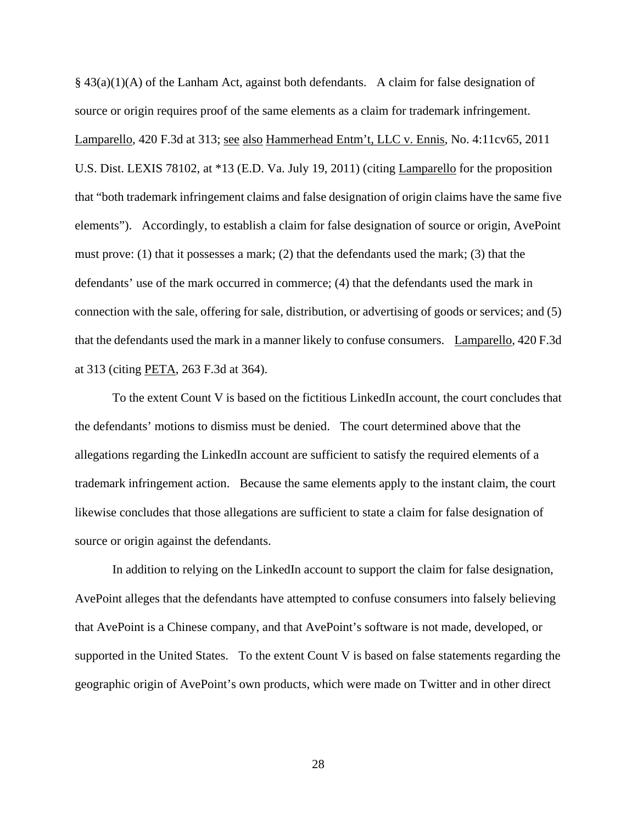$§$  43(a)(1)(A) of the Lanham Act, against both defendants. A claim for false designation of source or origin requires proof of the same elements as a claim for trademark infringement. Lamparello, 420 F.3d at 313; see also Hammerhead Entm't, LLC v. Ennis, No. 4:11cv65, 2011 U.S. Dist. LEXIS 78102, at \*13 (E.D. Va. July 19, 2011) (citing Lamparello for the proposition that "both trademark infringement claims and false designation of origin claims have the same five elements"). Accordingly, to establish a claim for false designation of source or origin, AvePoint must prove: (1) that it possesses a mark; (2) that the defendants used the mark; (3) that the defendants' use of the mark occurred in commerce; (4) that the defendants used the mark in connection with the sale, offering for sale, distribution, or advertising of goods or services; and (5) that the defendants used the mark in a manner likely to confuse consumers. Lamparello, 420 F.3d at 313 (citing PETA, 263 F.3d at 364).

 To the extent Count V is based on the fictitious LinkedIn account, the court concludes that the defendants' motions to dismiss must be denied. The court determined above that the allegations regarding the LinkedIn account are sufficient to satisfy the required elements of a trademark infringement action. Because the same elements apply to the instant claim, the court likewise concludes that those allegations are sufficient to state a claim for false designation of source or origin against the defendants.

 In addition to relying on the LinkedIn account to support the claim for false designation, AvePoint alleges that the defendants have attempted to confuse consumers into falsely believing that AvePoint is a Chinese company, and that AvePoint's software is not made, developed, or supported in the United States. To the extent Count V is based on false statements regarding the geographic origin of AvePoint's own products, which were made on Twitter and in other direct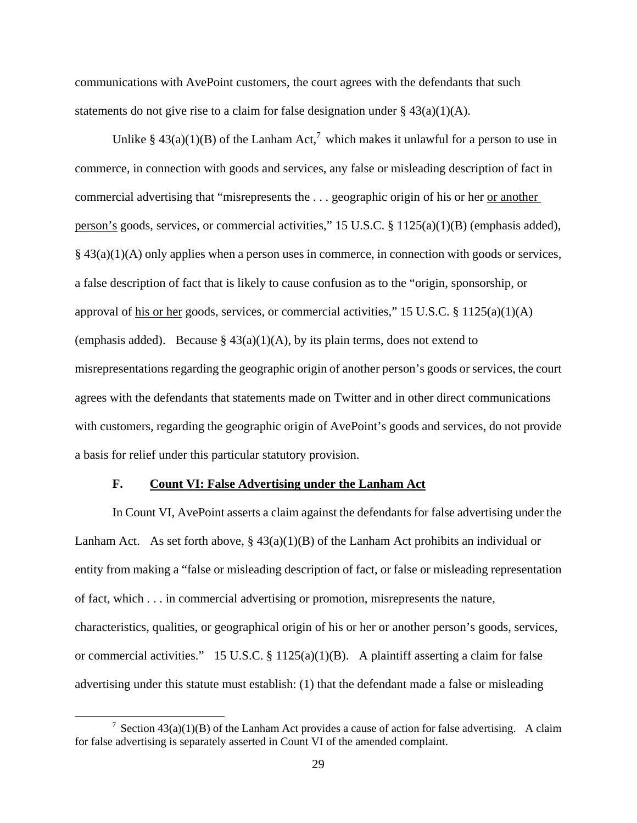communications with AvePoint customers, the court agrees with the defendants that such statements do not give rise to a claim for false designation under §  $43(a)(1)(A)$ .

Unlike § 43(a)(1)(B) of the Lanham Act,<sup>7</sup> which makes it unlawful for a person to use in commerce, in connection with goods and services, any false or misleading description of fact in commercial advertising that "misrepresents the . . . geographic origin of his or her or another person's goods, services, or commercial activities," 15 U.S.C. § 1125(a)(1)(B) (emphasis added), § 43(a)(1)(A) only applies when a person uses in commerce, in connection with goods or services, a false description of fact that is likely to cause confusion as to the "origin, sponsorship, or approval of his or her goods, services, or commercial activities," 15 U.S.C. § 1125(a)(1)(A) (emphasis added). Because §  $43(a)(1)(A)$ , by its plain terms, does not extend to misrepresentations regarding the geographic origin of another person's goods or services, the court agrees with the defendants that statements made on Twitter and in other direct communications with customers, regarding the geographic origin of AvePoint's goods and services, do not provide a basis for relief under this particular statutory provision.

### **F. Count VI: False Advertising under the Lanham Act**

 In Count VI, AvePoint asserts a claim against the defendants for false advertising under the Lanham Act. As set forth above,  $\S 43(a)(1)(B)$  of the Lanham Act prohibits an individual or entity from making a "false or misleading description of fact, or false or misleading representation of fact, which . . . in commercial advertising or promotion, misrepresents the nature, characteristics, qualities, or geographical origin of his or her or another person's goods, services, or commercial activities." 15 U.S.C. § 1125(a)(1)(B). A plaintiff asserting a claim for false advertising under this statute must establish: (1) that the defendant made a false or misleading

 <sup>7</sup> <sup>7</sup> Section 43(a)(1)(B) of the Lanham Act provides a cause of action for false advertising. A claim for false advertising is separately asserted in Count VI of the amended complaint.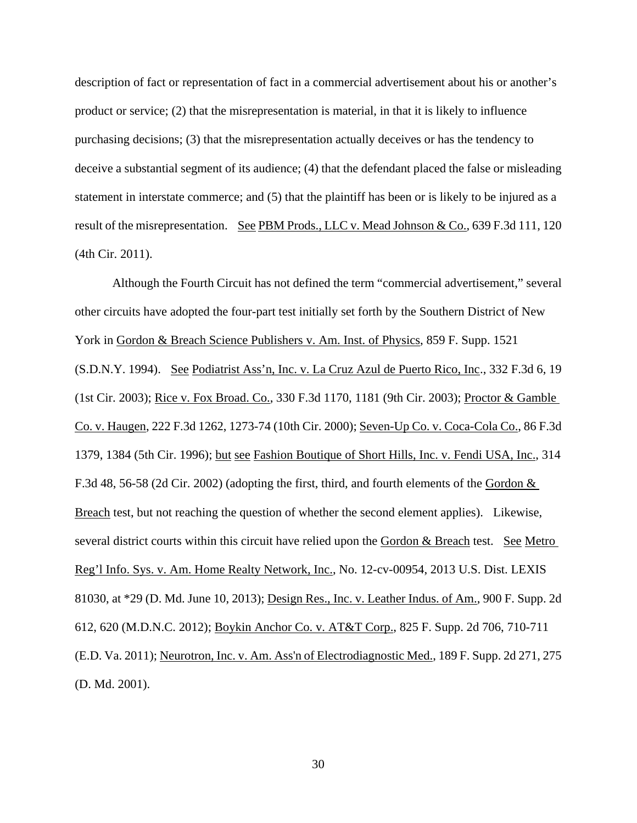description of fact or representation of fact in a commercial advertisement about his or another's product or service; (2) that the misrepresentation is material, in that it is likely to influence purchasing decisions; (3) that the misrepresentation actually deceives or has the tendency to deceive a substantial segment of its audience; (4) that the defendant placed the false or misleading statement in interstate commerce; and (5) that the plaintiff has been or is likely to be injured as a result of the misrepresentation. See PBM Prods., LLC v. Mead Johnson & Co., 639 F.3d 111, 120 (4th Cir. 2011).

 Although the Fourth Circuit has not defined the term "commercial advertisement," several other circuits have adopted the four-part test initially set forth by the Southern District of New York in Gordon & Breach Science Publishers v. Am. Inst. of Physics, 859 F. Supp. 1521 (S.D.N.Y. 1994). See Podiatrist Ass'n, Inc. v. La Cruz Azul de Puerto Rico, Inc., 332 F.3d 6, 19 (1st Cir. 2003); Rice v. Fox Broad. Co., 330 F.3d 1170, 1181 (9th Cir. 2003); Proctor & Gamble Co. v. Haugen, 222 F.3d 1262, 1273-74 (10th Cir. 2000); Seven-Up Co. v. Coca-Cola Co., 86 F.3d 1379, 1384 (5th Cir. 1996); but see Fashion Boutique of Short Hills, Inc. v. Fendi USA, Inc., 314 F.3d 48, 56-58 (2d Cir. 2002) (adopting the first, third, and fourth elements of the Gordon & Breach test, but not reaching the question of whether the second element applies). Likewise, several district courts within this circuit have relied upon the Gordon & Breach test. See Metro Reg'l Info. Sys. v. Am. Home Realty Network, Inc., No. 12-cv-00954, 2013 U.S. Dist. LEXIS 81030, at \*29 (D. Md. June 10, 2013); Design Res., Inc. v. Leather Indus. of Am., 900 F. Supp. 2d 612, 620 (M.D.N.C. 2012); Boykin Anchor Co. v. AT&T Corp., 825 F. Supp. 2d 706, 710-711 (E.D. Va. 2011); Neurotron, Inc. v. Am. Ass'n of Electrodiagnostic Med., 189 F. Supp. 2d 271, 275 (D. Md. 2001).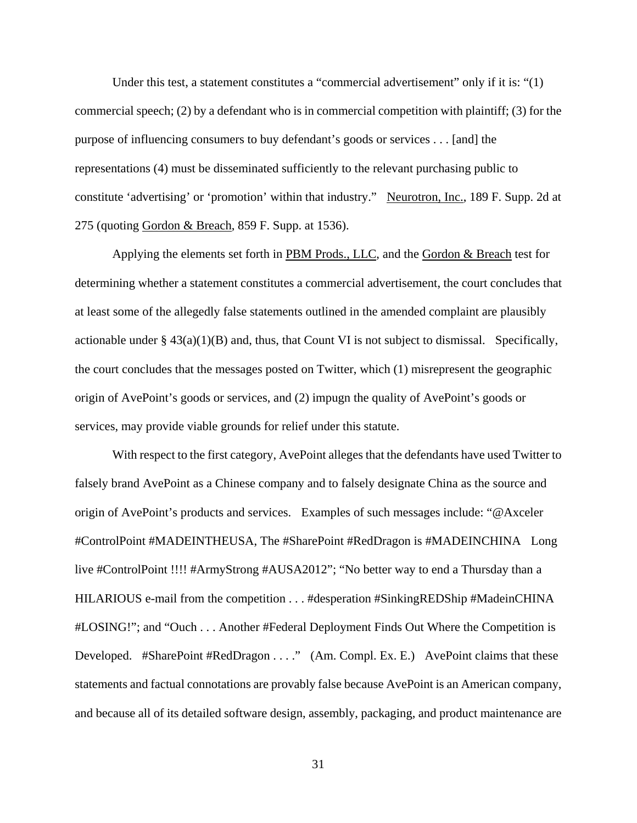Under this test, a statement constitutes a "commercial advertisement" only if it is: "(1) commercial speech; (2) by a defendant who is in commercial competition with plaintiff; (3) for the purpose of influencing consumers to buy defendant's goods or services . . . [and] the representations (4) must be disseminated sufficiently to the relevant purchasing public to constitute 'advertising' or 'promotion' within that industry." Neurotron, Inc., 189 F. Supp. 2d at 275 (quoting Gordon & Breach, 859 F. Supp. at 1536).

 Applying the elements set forth in PBM Prods., LLC, and the Gordon & Breach test for determining whether a statement constitutes a commercial advertisement, the court concludes that at least some of the allegedly false statements outlined in the amended complaint are plausibly actionable under  $\S 43(a)(1)(B)$  and, thus, that Count VI is not subject to dismissal. Specifically, the court concludes that the messages posted on Twitter, which (1) misrepresent the geographic origin of AvePoint's goods or services, and (2) impugn the quality of AvePoint's goods or services, may provide viable grounds for relief under this statute.

 With respect to the first category, AvePoint alleges that the defendants have used Twitter to falsely brand AvePoint as a Chinese company and to falsely designate China as the source and origin of AvePoint's products and services. Examples of such messages include: "@Axceler #ControlPoint #MADEINTHEUSA, The #SharePoint #RedDragon is #MADEINCHINA Long live #ControlPoint !!!! #ArmyStrong #AUSA2012"; "No better way to end a Thursday than a HILARIOUS e-mail from the competition . . . #desperation #SinkingREDShip #MadeinCHINA #LOSING!"; and "Ouch . . . Another #Federal Deployment Finds Out Where the Competition is Developed. #SharePoint #RedDragon . . . ." (Am. Compl. Ex. E.) AvePoint claims that these statements and factual connotations are provably false because AvePoint is an American company, and because all of its detailed software design, assembly, packaging, and product maintenance are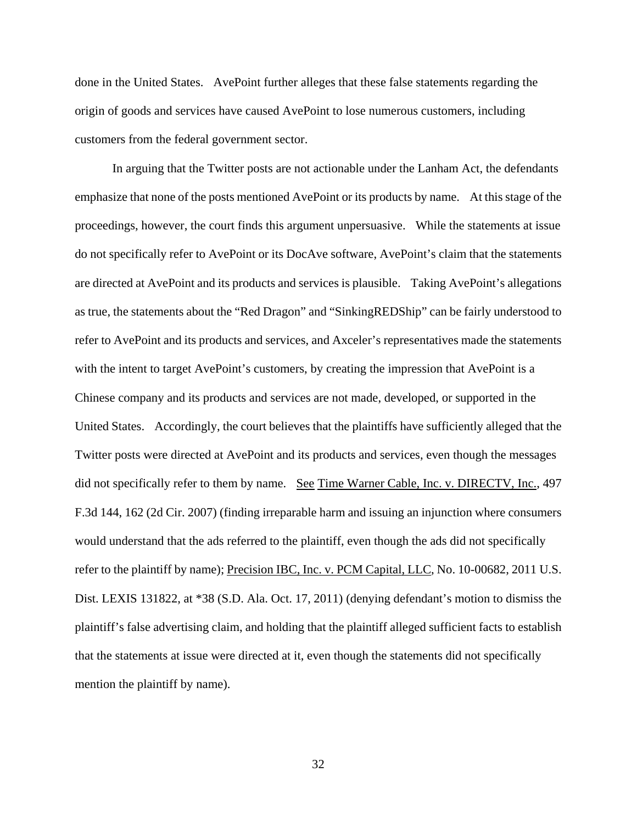done in the United States. AvePoint further alleges that these false statements regarding the origin of goods and services have caused AvePoint to lose numerous customers, including customers from the federal government sector.

 In arguing that the Twitter posts are not actionable under the Lanham Act, the defendants emphasize that none of the posts mentioned AvePoint or its products by name. At this stage of the proceedings, however, the court finds this argument unpersuasive. While the statements at issue do not specifically refer to AvePoint or its DocAve software, AvePoint's claim that the statements are directed at AvePoint and its products and services is plausible. Taking AvePoint's allegations as true, the statements about the "Red Dragon" and "SinkingREDShip" can be fairly understood to refer to AvePoint and its products and services, and Axceler's representatives made the statements with the intent to target AvePoint's customers, by creating the impression that AvePoint is a Chinese company and its products and services are not made, developed, or supported in the United States. Accordingly, the court believes that the plaintiffs have sufficiently alleged that the Twitter posts were directed at AvePoint and its products and services, even though the messages did not specifically refer to them by name. See Time Warner Cable, Inc. v. DIRECTV, Inc., 497 F.3d 144, 162 (2d Cir. 2007) (finding irreparable harm and issuing an injunction where consumers would understand that the ads referred to the plaintiff, even though the ads did not specifically refer to the plaintiff by name); Precision IBC, Inc. v. PCM Capital, LLC, No. 10-00682, 2011 U.S. Dist. LEXIS 131822, at \*38 (S.D. Ala. Oct. 17, 2011) (denying defendant's motion to dismiss the plaintiff's false advertising claim, and holding that the plaintiff alleged sufficient facts to establish that the statements at issue were directed at it, even though the statements did not specifically mention the plaintiff by name).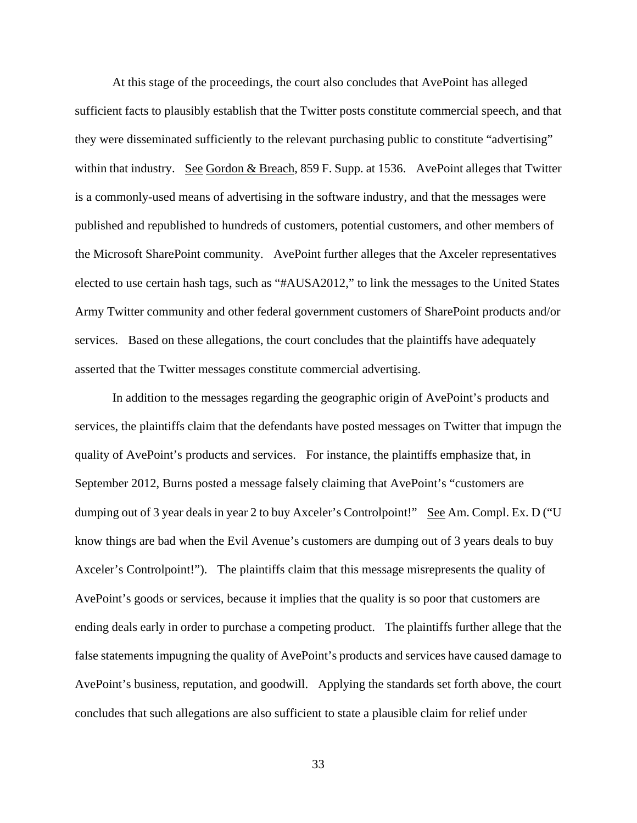At this stage of the proceedings, the court also concludes that AvePoint has alleged sufficient facts to plausibly establish that the Twitter posts constitute commercial speech, and that they were disseminated sufficiently to the relevant purchasing public to constitute "advertising" within that industry. See Gordon & Breach, 859 F. Supp. at 1536. AvePoint alleges that Twitter is a commonly-used means of advertising in the software industry, and that the messages were published and republished to hundreds of customers, potential customers, and other members of the Microsoft SharePoint community. AvePoint further alleges that the Axceler representatives elected to use certain hash tags, such as "#AUSA2012," to link the messages to the United States Army Twitter community and other federal government customers of SharePoint products and/or services. Based on these allegations, the court concludes that the plaintiffs have adequately asserted that the Twitter messages constitute commercial advertising.

 In addition to the messages regarding the geographic origin of AvePoint's products and services, the plaintiffs claim that the defendants have posted messages on Twitter that impugn the quality of AvePoint's products and services. For instance, the plaintiffs emphasize that, in September 2012, Burns posted a message falsely claiming that AvePoint's "customers are dumping out of 3 year deals in year 2 to buy Axceler's Controlpoint!" See Am. Compl. Ex. D ("U know things are bad when the Evil Avenue's customers are dumping out of 3 years deals to buy Axceler's Controlpoint!"). The plaintiffs claim that this message misrepresents the quality of AvePoint's goods or services, because it implies that the quality is so poor that customers are ending deals early in order to purchase a competing product. The plaintiffs further allege that the false statements impugning the quality of AvePoint's products and services have caused damage to AvePoint's business, reputation, and goodwill. Applying the standards set forth above, the court concludes that such allegations are also sufficient to state a plausible claim for relief under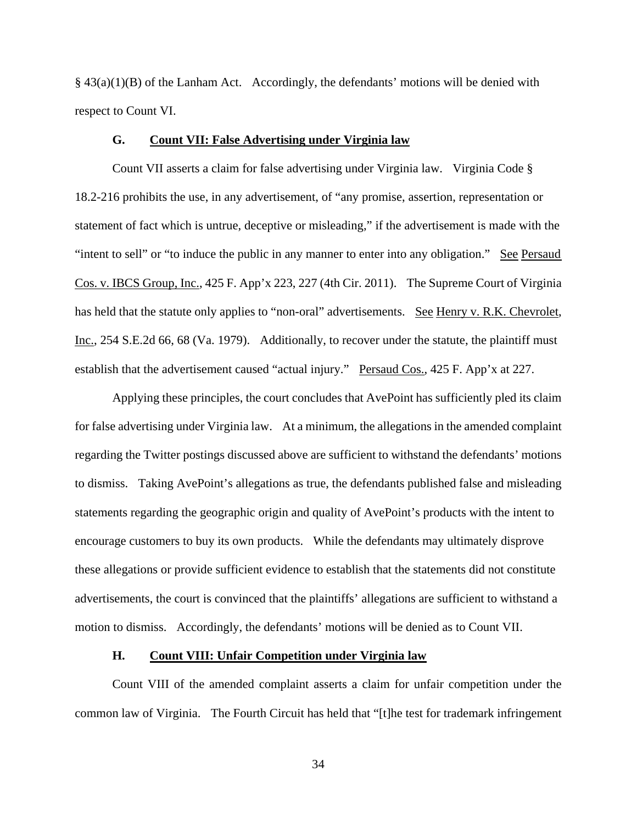$§$  43(a)(1)(B) of the Lanham Act. Accordingly, the defendants' motions will be denied with respect to Count VI.

## **G. Count VII: False Advertising under Virginia law**

 Count VII asserts a claim for false advertising under Virginia law. Virginia Code § 18.2-216 prohibits the use, in any advertisement, of "any promise, assertion, representation or statement of fact which is untrue, deceptive or misleading," if the advertisement is made with the "intent to sell" or "to induce the public in any manner to enter into any obligation." See Persaud Cos. v. IBCS Group, Inc., 425 F. App'x 223, 227 (4th Cir. 2011). The Supreme Court of Virginia has held that the statute only applies to "non-oral" advertisements. See Henry v. R.K. Chevrolet, Inc., 254 S.E.2d 66, 68 (Va. 1979). Additionally, to recover under the statute, the plaintiff must establish that the advertisement caused "actual injury." Persaud Cos., 425 F. App'x at 227.

 Applying these principles, the court concludes that AvePoint has sufficiently pled its claim for false advertising under Virginia law. At a minimum, the allegations in the amended complaint regarding the Twitter postings discussed above are sufficient to withstand the defendants' motions to dismiss. Taking AvePoint's allegations as true, the defendants published false and misleading statements regarding the geographic origin and quality of AvePoint's products with the intent to encourage customers to buy its own products. While the defendants may ultimately disprove these allegations or provide sufficient evidence to establish that the statements did not constitute advertisements, the court is convinced that the plaintiffs' allegations are sufficient to withstand a motion to dismiss. Accordingly, the defendants' motions will be denied as to Count VII.

### **H. Count VIII: Unfair Competition under Virginia law**

Count VIII of the amended complaint asserts a claim for unfair competition under the common law of Virginia. The Fourth Circuit has held that "[t]he test for trademark infringement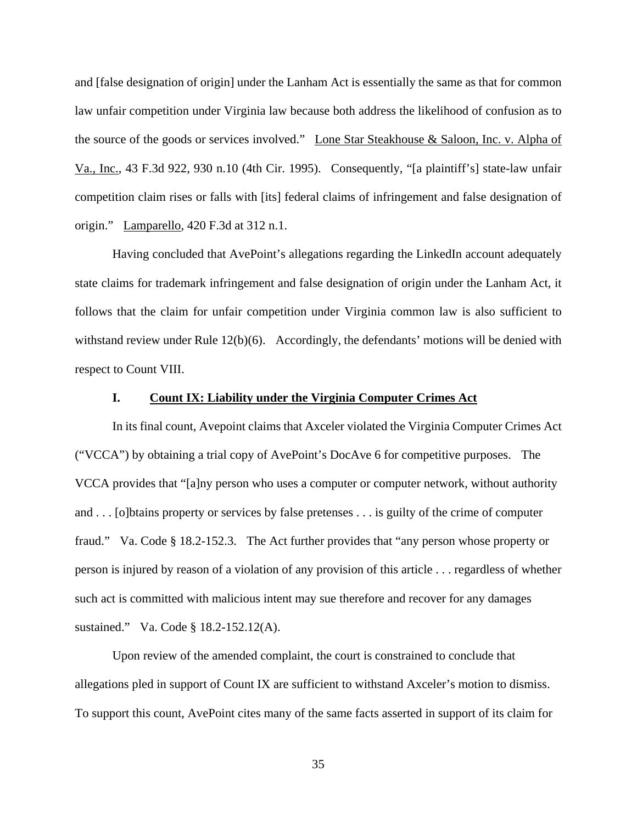and [false designation of origin] under the Lanham Act is essentially the same as that for common law unfair competition under Virginia law because both address the likelihood of confusion as to the source of the goods or services involved." Lone Star Steakhouse & Saloon, Inc. v. Alpha of Va., Inc., 43 F.3d 922, 930 n.10 (4th Cir. 1995). Consequently, "[a plaintiff's] state-law unfair competition claim rises or falls with [its] federal claims of infringement and false designation of origin." Lamparello, 420 F.3d at 312 n.1.

 Having concluded that AvePoint's allegations regarding the LinkedIn account adequately state claims for trademark infringement and false designation of origin under the Lanham Act, it follows that the claim for unfair competition under Virginia common law is also sufficient to withstand review under Rule  $12(b)(6)$ . Accordingly, the defendants' motions will be denied with respect to Count VIII.

### **I. Count IX: Liability under the Virginia Computer Crimes Act**

 In its final count, Avepoint claims that Axceler violated the Virginia Computer Crimes Act ("VCCA") by obtaining a trial copy of AvePoint's DocAve 6 for competitive purposes. The VCCA provides that "[a]ny person who uses a computer or computer network, without authority and . . . [o]btains property or services by false pretenses . . . is guilty of the crime of computer fraud." Va. Code § 18.2-152.3. The Act further provides that "any person whose property or person is injured by reason of a violation of any provision of this article . . . regardless of whether such act is committed with malicious intent may sue therefore and recover for any damages sustained." Va. Code § 18.2-152.12(A).

 Upon review of the amended complaint, the court is constrained to conclude that allegations pled in support of Count IX are sufficient to withstand Axceler's motion to dismiss. To support this count, AvePoint cites many of the same facts asserted in support of its claim for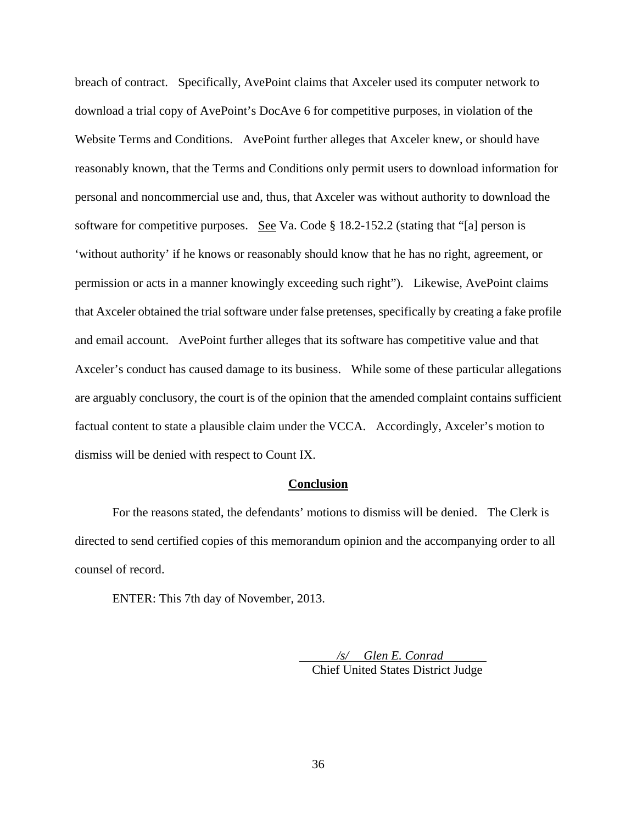breach of contract. Specifically, AvePoint claims that Axceler used its computer network to download a trial copy of AvePoint's DocAve 6 for competitive purposes, in violation of the Website Terms and Conditions. AvePoint further alleges that Axceler knew, or should have reasonably known, that the Terms and Conditions only permit users to download information for personal and noncommercial use and, thus, that Axceler was without authority to download the software for competitive purposes. See Va. Code § 18.2-152.2 (stating that "[a] person is 'without authority' if he knows or reasonably should know that he has no right, agreement, or permission or acts in a manner knowingly exceeding such right"). Likewise, AvePoint claims that Axceler obtained the trial software under false pretenses, specifically by creating a fake profile and email account. AvePoint further alleges that its software has competitive value and that Axceler's conduct has caused damage to its business. While some of these particular allegations are arguably conclusory, the court is of the opinion that the amended complaint contains sufficient factual content to state a plausible claim under the VCCA. Accordingly, Axceler's motion to dismiss will be denied with respect to Count IX.

### **Conclusion**

For the reasons stated, the defendants' motions to dismiss will be denied. The Clerk is directed to send certified copies of this memorandum opinion and the accompanying order to all counsel of record.

ENTER: This 7th day of November, 2013.

 */s/ Glen E. Conrad*  Chief United States District Judge